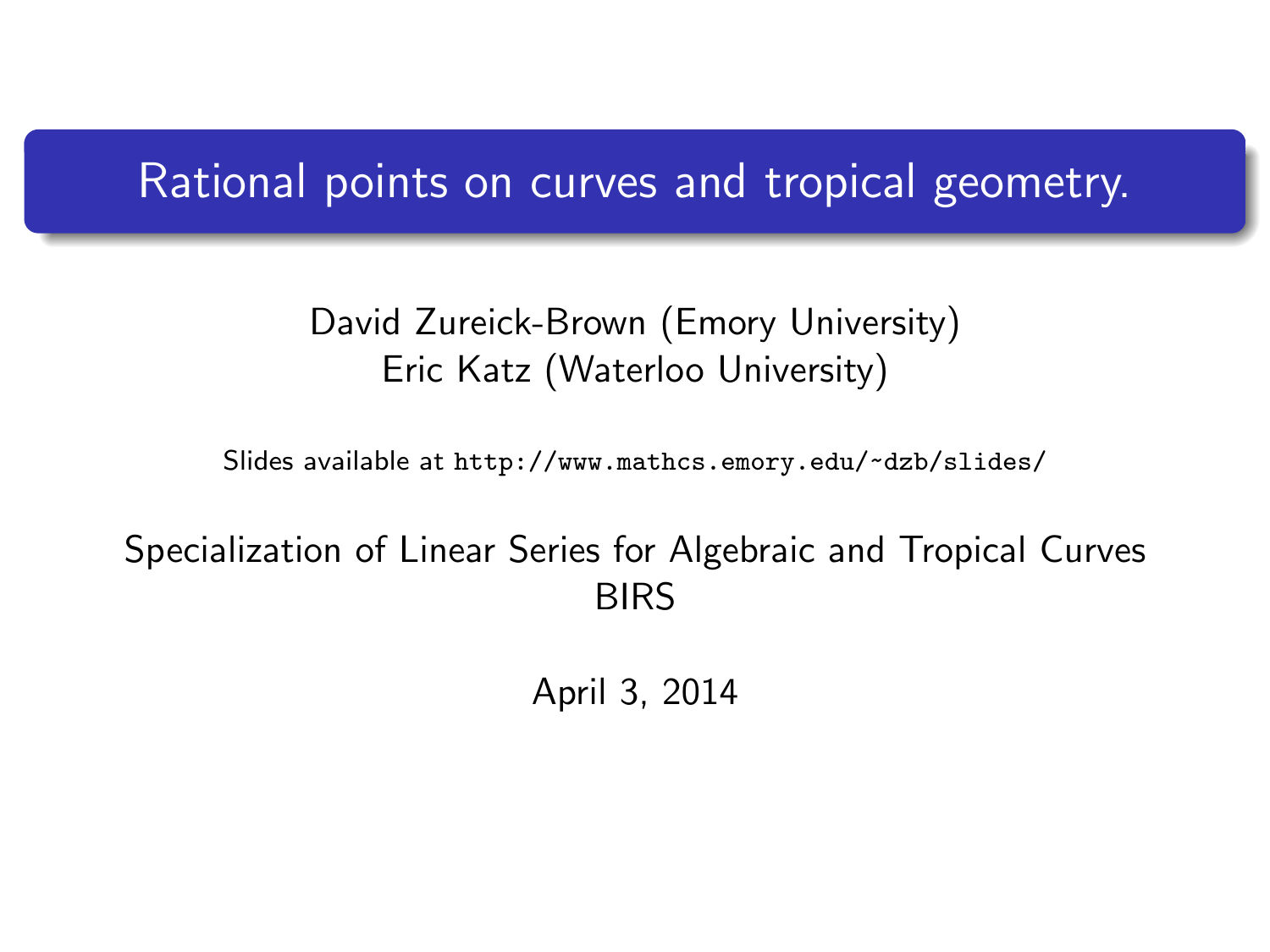# Rational points on curves and tropical geometry.

#### David Zureick-Brown (Emory University) Eric Katz (Waterloo University)

Slides available at <http://www.mathcs.emory.edu/~dzb/slides/>

#### <span id="page-0-0"></span>Specialization of Linear Series for Algebraic and Tropical Curves BIRS

April 3, 2014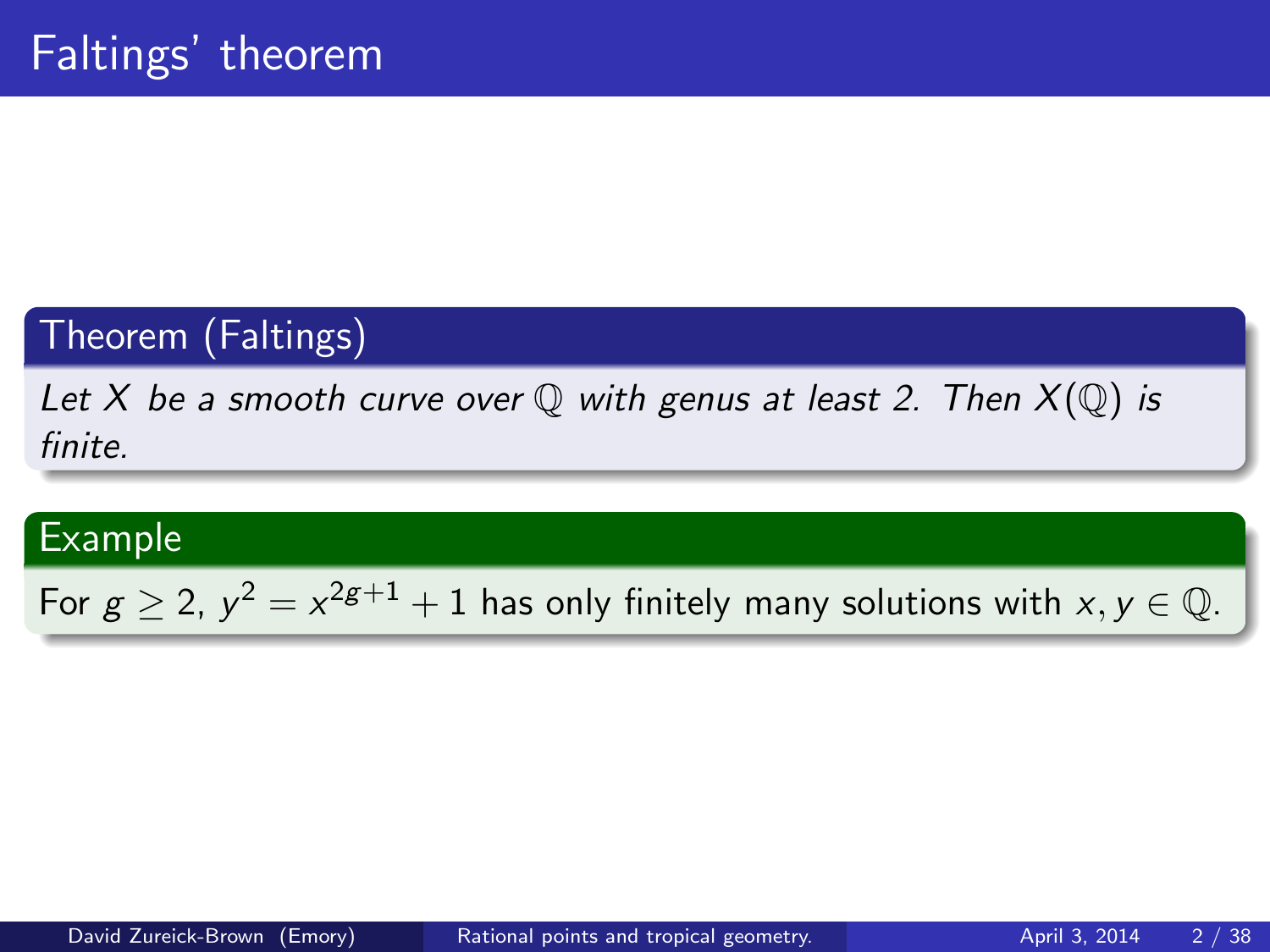# Theorem (Faltings)

Let X be a smooth curve over  $\mathbb Q$  with genus at least 2. Then  $X(\mathbb Q)$  is finite.

#### Example

For  $g \geq 2$ ,  $y^2 = x^{2g+1} + 1$  has only finitely many solutions with  $x, y \in \mathbb{Q}$ .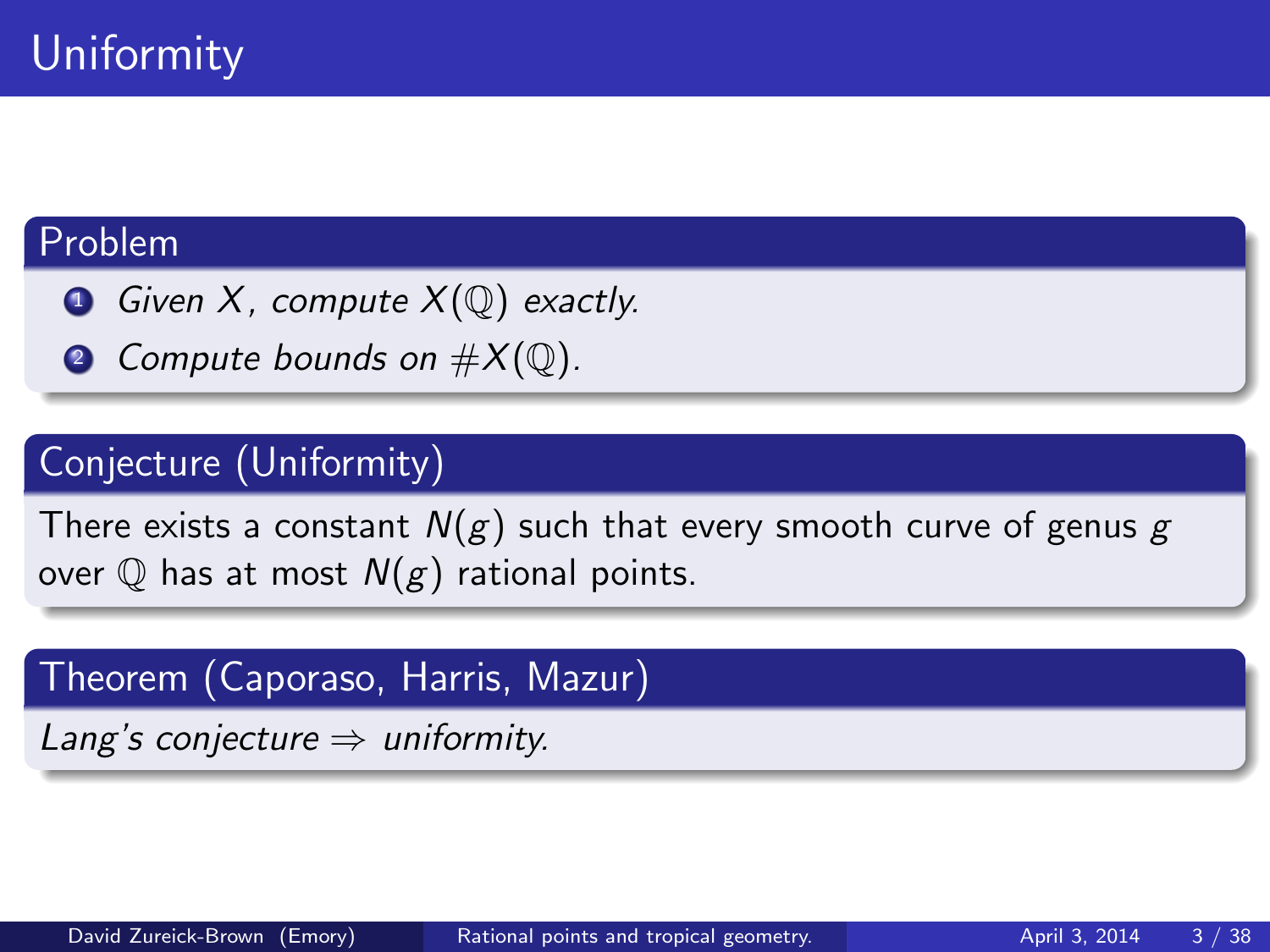#### Problem

- Given X, compute  $X(\mathbb{Q})$  exactly.
- **2** Compute bounds on  $\#X(\mathbb{Q})$ .

## Conjecture (Uniformity)

There exists a constant  $N(g)$  such that every smooth curve of genus g over  $\mathbb Q$  has at most  $N(g)$  rational points.

Theorem (Caporaso, Harris, Mazur)

Lang's conjecture  $\Rightarrow$  uniformity.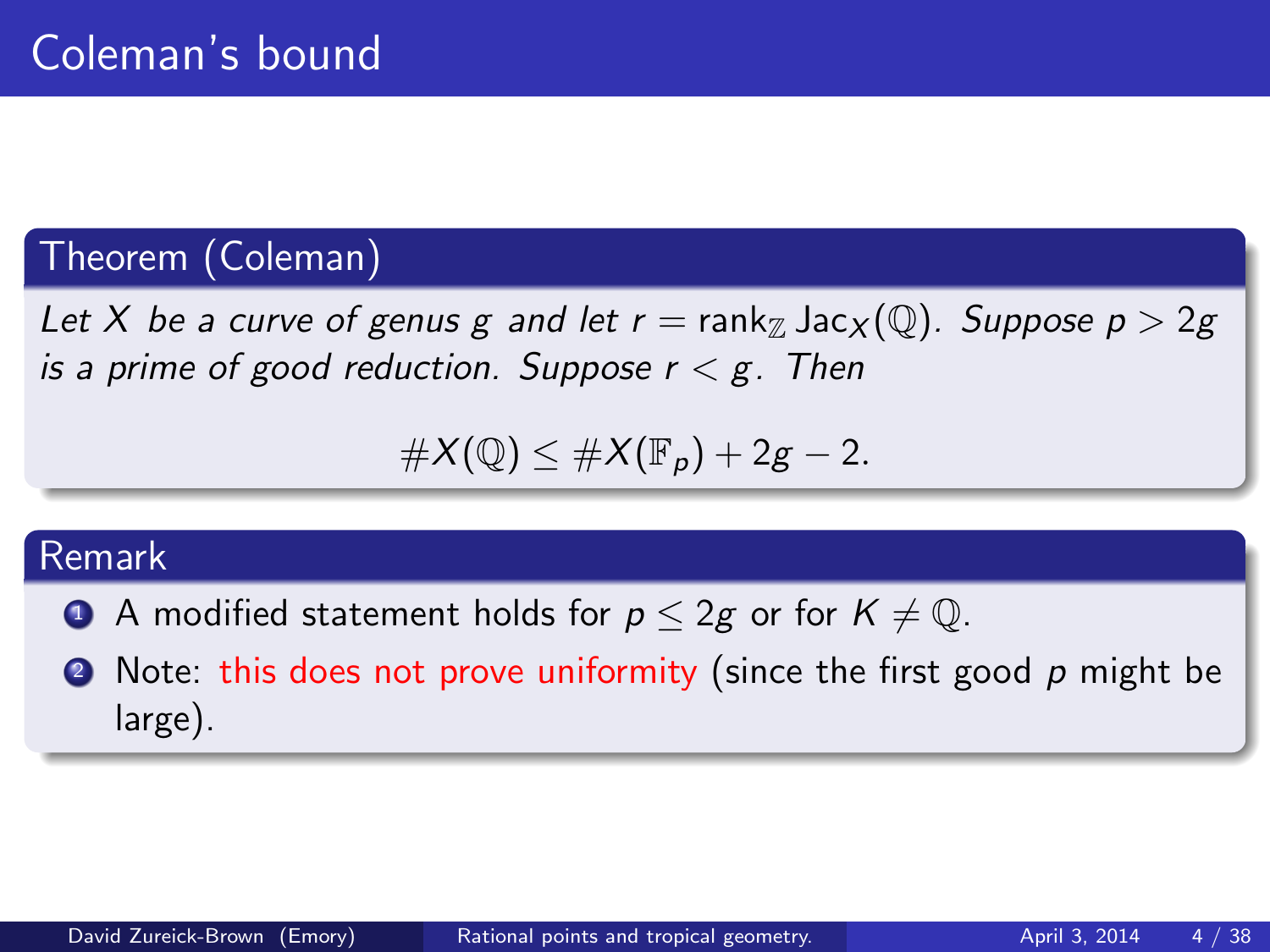## Theorem (Coleman)

Let X be a curve of genus g and let  $r = \text{rank}_{\mathbb{Z}} \text{Jac}_{X}(\mathbb{Q})$ . Suppose  $p > 2g$ is a prime of good reduction. Suppose  $r < g$ . Then

$$
\#X(\mathbb{Q})\leq \#X(\mathbb{F}_p)+2g-2.
$$

#### Remark

- A modified statement holds for  $p \leq 2g$  or for  $K \neq \mathbb{Q}$ .
- $\bullet$  Note: this does not prove uniformity (since the first good  $p$  might be large).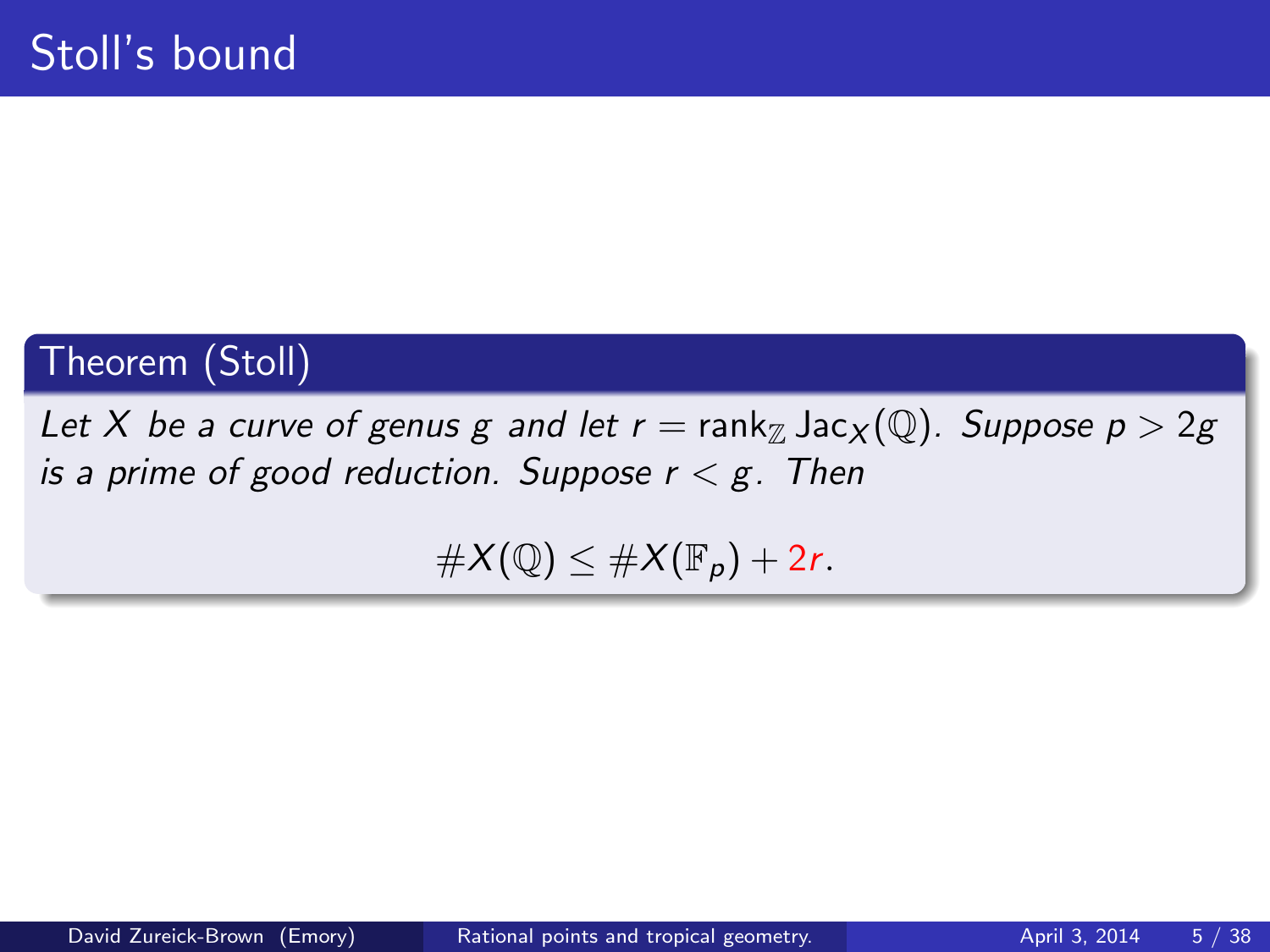# Theorem (Stoll)

Let X be a curve of genus g and let  $r = \text{rank}_{\mathbb{Z}} \text{Jac}_{X}(\mathbb{Q})$ . Suppose  $p > 2g$ is a prime of good reduction. Suppose  $r < g$ . Then

 $\#X(\mathbb{Q}) \leq \#X(\mathbb{F}_p) + 2r.$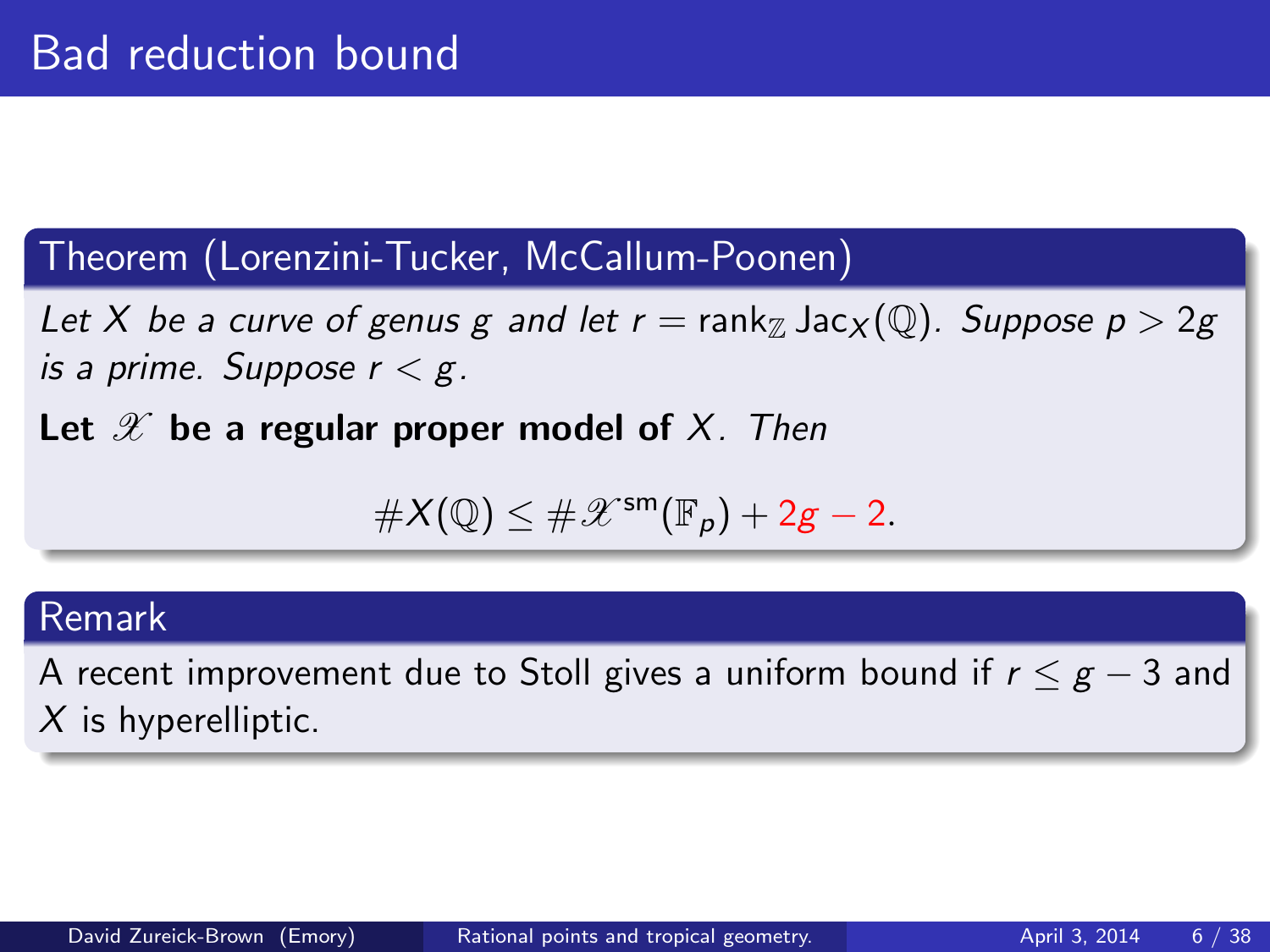#### Theorem (Lorenzini-Tucker, McCallum-Poonen)

Let X be a curve of genus g and let  $r = \text{rank}_{\mathbb{Z}} \text{Jac}_{X}(\mathbb{Q})$ . Suppose  $p > 2g$ is a prime. Suppose  $r < g$ .

Let  $\mathscr X$  be a regular proper model of X. Then

$$
\#X(\mathbb{Q})\leq \#\mathscr{X}^{\mathsf{sm}}(\mathbb{F}_p)+2g-2.
$$

#### Remark

A recent improvement due to Stoll gives a uniform bound if  $r \leq g - 3$  and  $X$  is hyperelliptic.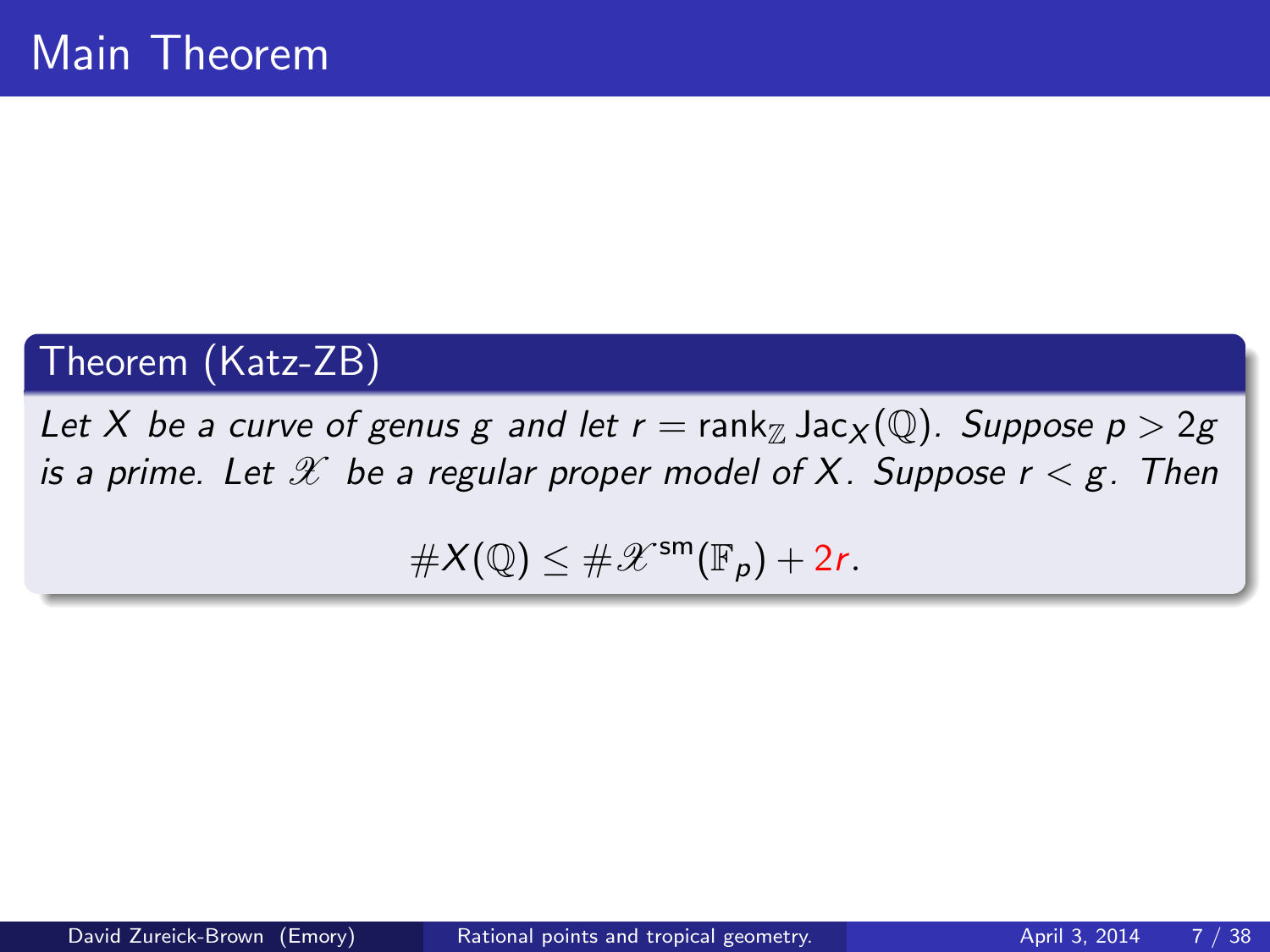# Theorem (Katz-ZB)

Let X be a curve of genus g and let  $r = \text{rank}_{\mathbb{Z}} \text{Jac}_{X}(\mathbb{Q})$ . Suppose  $p > 2g$ is a prime. Let  $\mathscr X$  be a regular proper model of X. Suppose  $r < g$ . Then

 $\#X(\mathbb{Q}) \leq \#X^{\mathsf{sm}}(\mathbb{F}_p) + 2r.$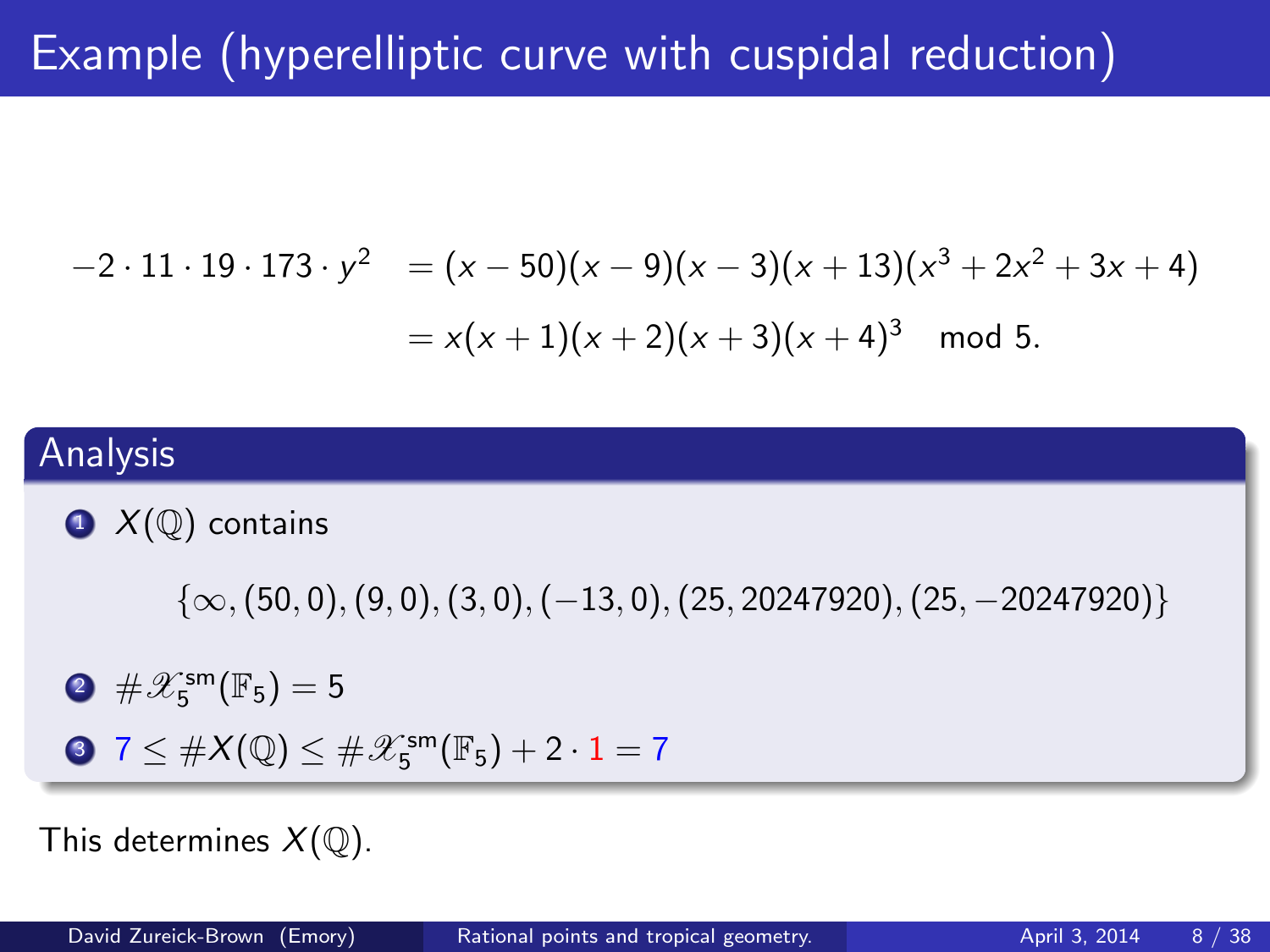# Example (hyperelliptic curve with cuspidal reduction)

$$
-2 \cdot 11 \cdot 19 \cdot 173 \cdot y^2 = (x - 50)(x - 9)(x - 3)(x + 13)(x^3 + 2x^2 + 3x + 4)
$$
  
=  $x(x + 1)(x + 2)(x + 3)(x + 4)^3 \mod 5$ .

#### Analysis

 $\bullet$   $X(\mathbb{Q})$  contains

 $\{\infty, (50, 0), (9, 0), (3, 0), (-13, 0), (25, 20247920), (25, -20247920)\}\$ 

 $2 \# \mathscr{X}_5^{\mathsf{sm}}(\mathbb{F}_5) = 5$ 

$$
37 \leq #X(\mathbb{Q}) \leq #\mathscr{X}_5^{\mathsf{sm}}(\mathbb{F}_5) + 2\cdot 1 = 7
$$

This determines  $X(\mathbb{Q})$ .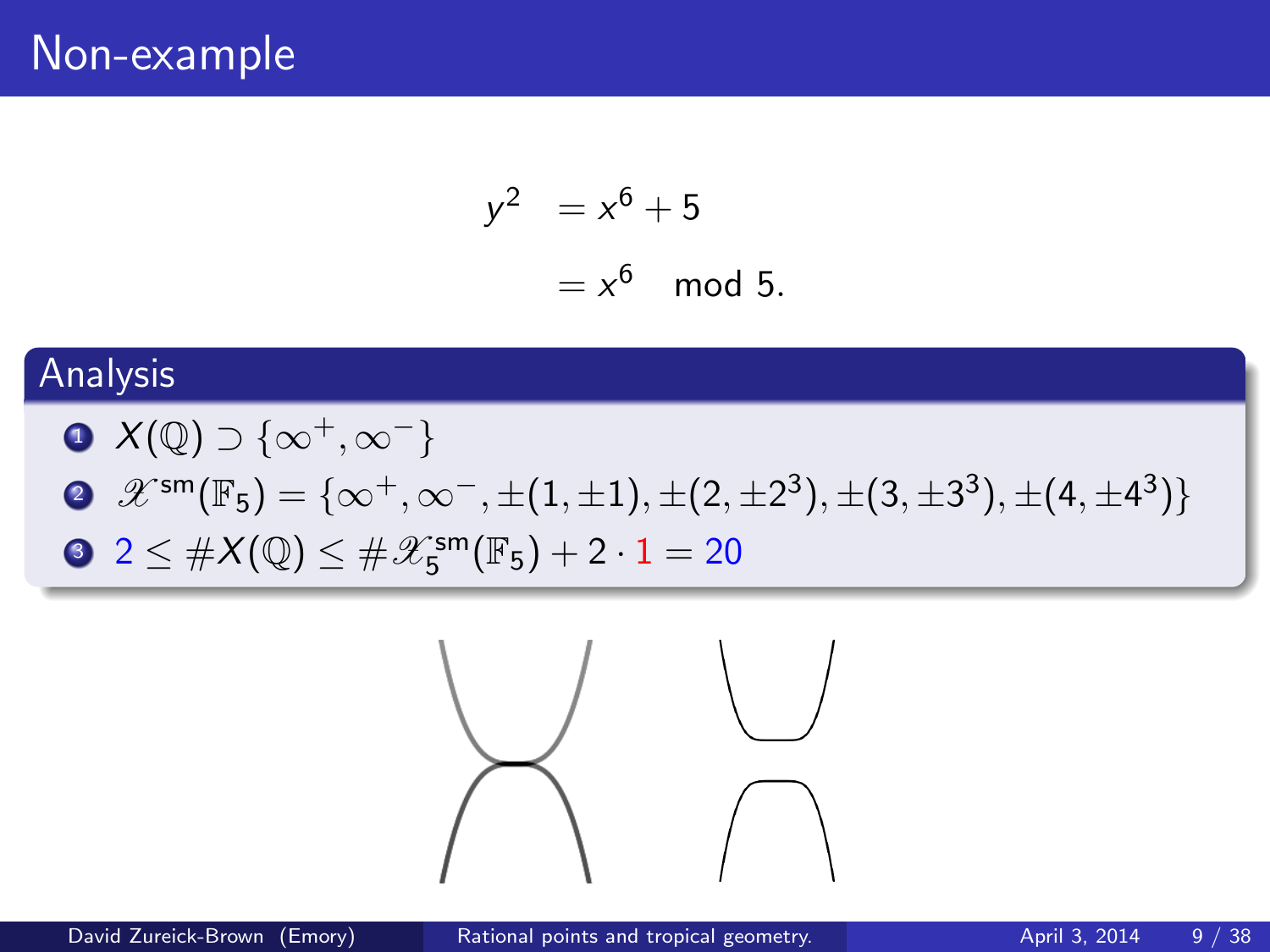$$
y^2 = x^6 + 5
$$

$$
= x^6 \mod 5.
$$

# Analysis

\n- **6** 
$$
X(\mathbb{Q}) \supset \{ \infty^+, \infty^-\}
$$
\n- **8**  $\mathscr{X}^{\mathsf{sm}}(\mathbb{F}_5) = \{ \infty^+, \infty^-, \pm (1, \pm 1), \pm (2, \pm 2^3), \pm (3, \pm 3^3), \pm (4, \pm 4^3) \}$
\n- **9**  $2 \leq \# X(\mathbb{Q}) \leq \# \mathscr{X}_5^{\mathsf{sm}}(\mathbb{F}_5) + 2 \cdot 1 = 20$
\n

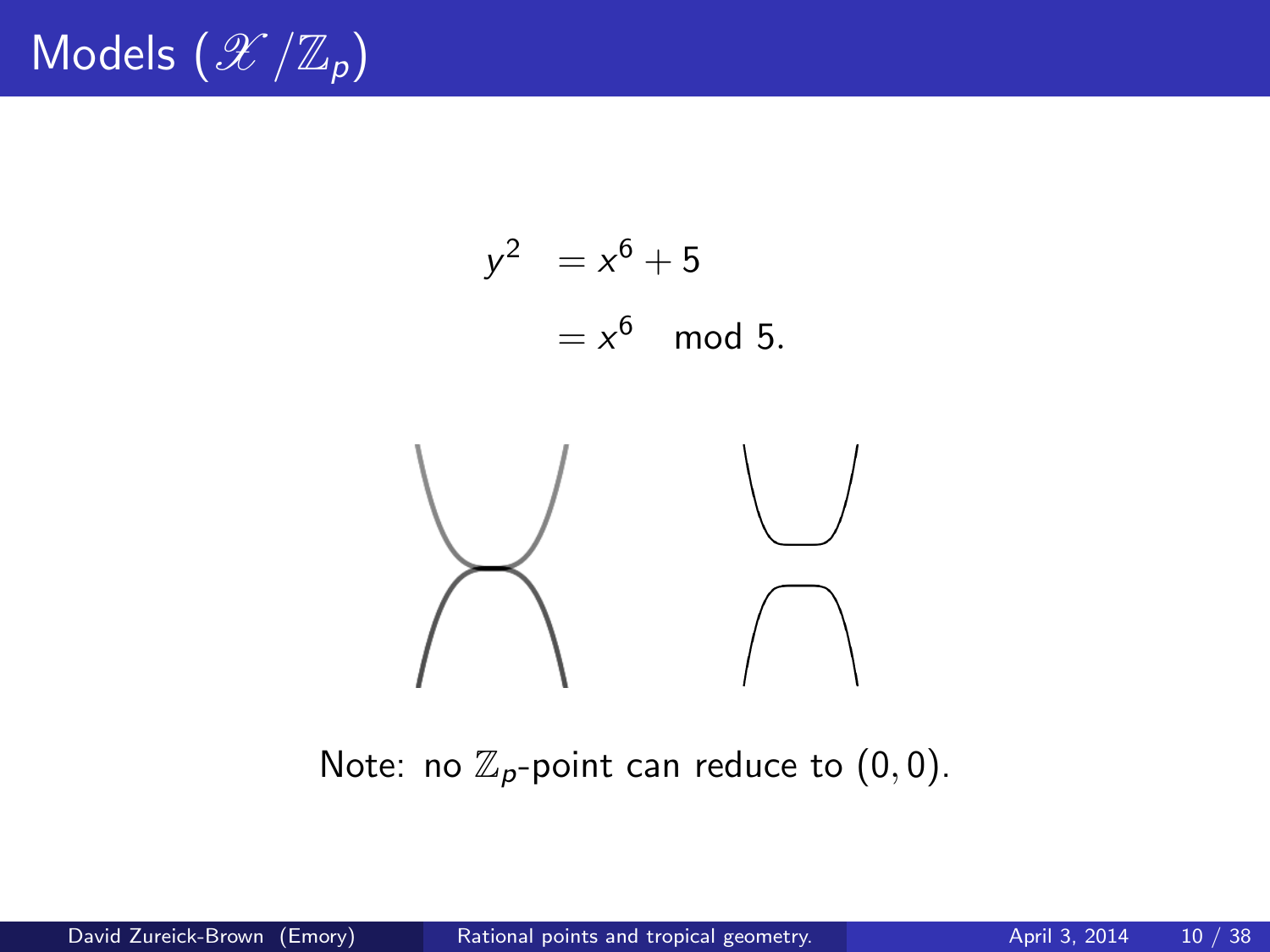

Note: no  $\mathbb{Z}_p$ -point can reduce to  $(0, 0)$ .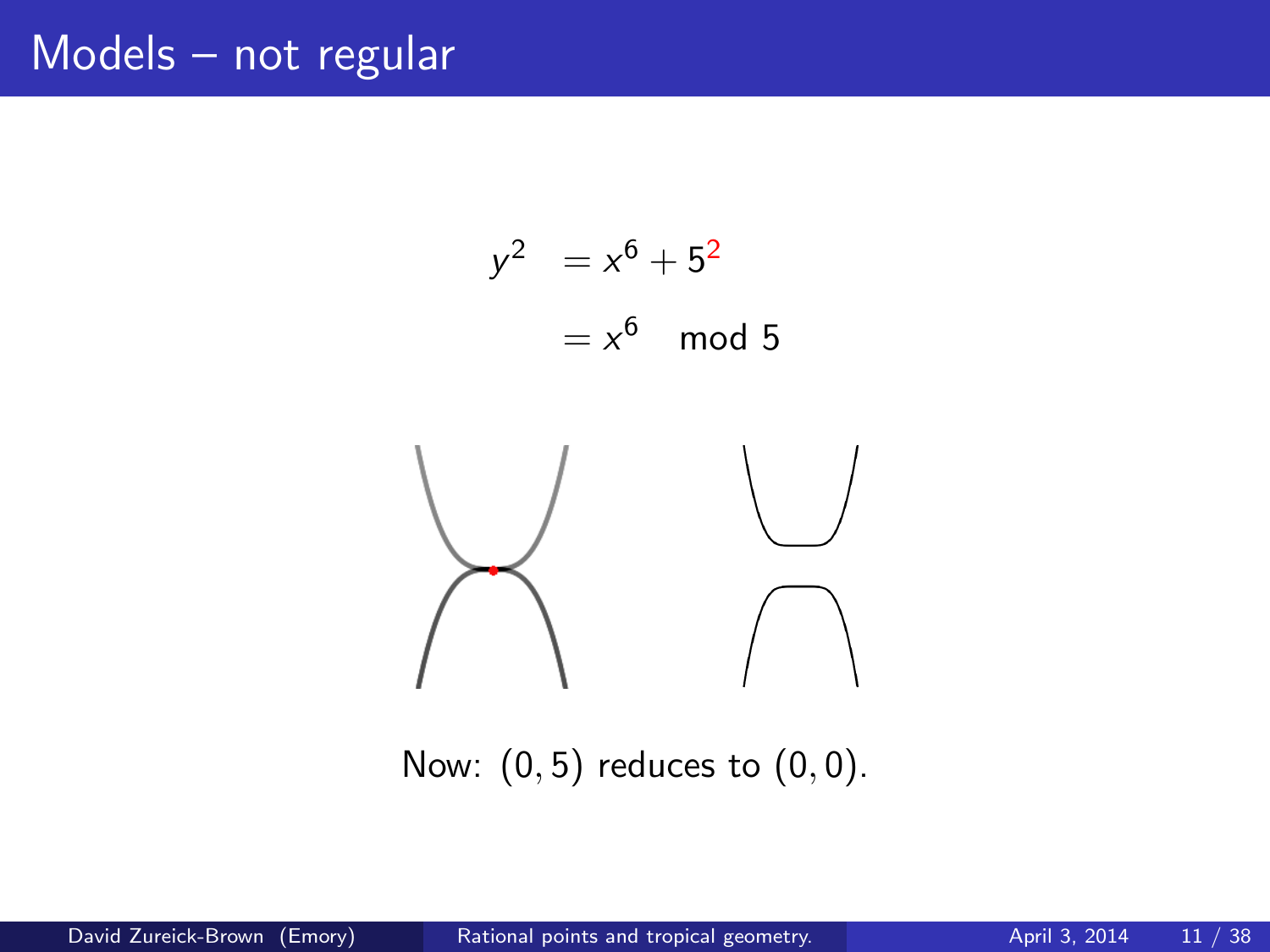# Models – not regular



Now:  $(0, 5)$  reduces to  $(0, 0)$ .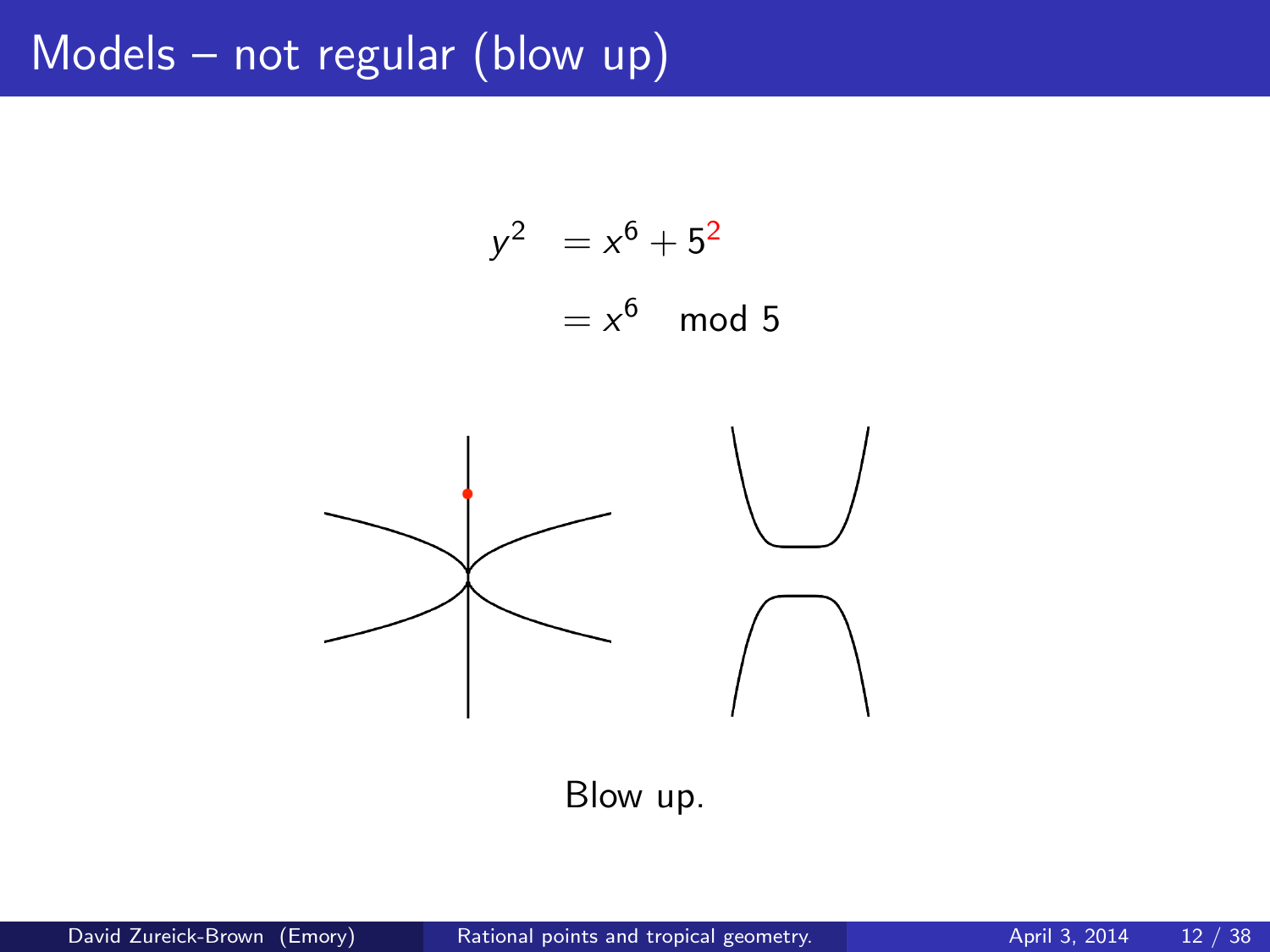# Models – not regular (blow up)

$$
y2 = x6 + 52
$$

$$
= x6 \mod 5
$$



Blow up.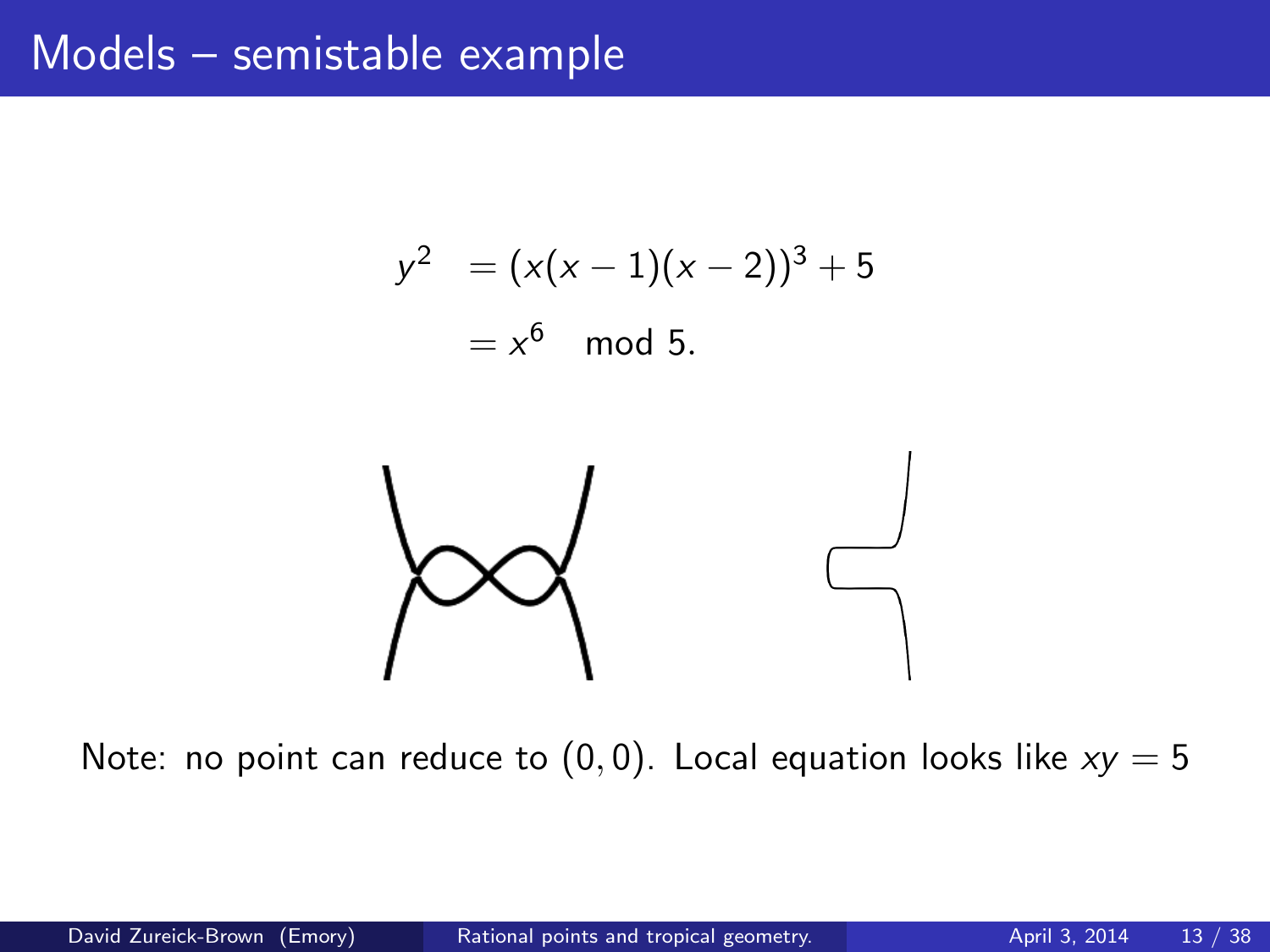$$
y2 = (x(x - 1)(x - 2))3 + 5
$$
  
= x<sup>6</sup> mod 5.



Note: no point can reduce to  $(0, 0)$ . Local equation looks like  $xy = 5$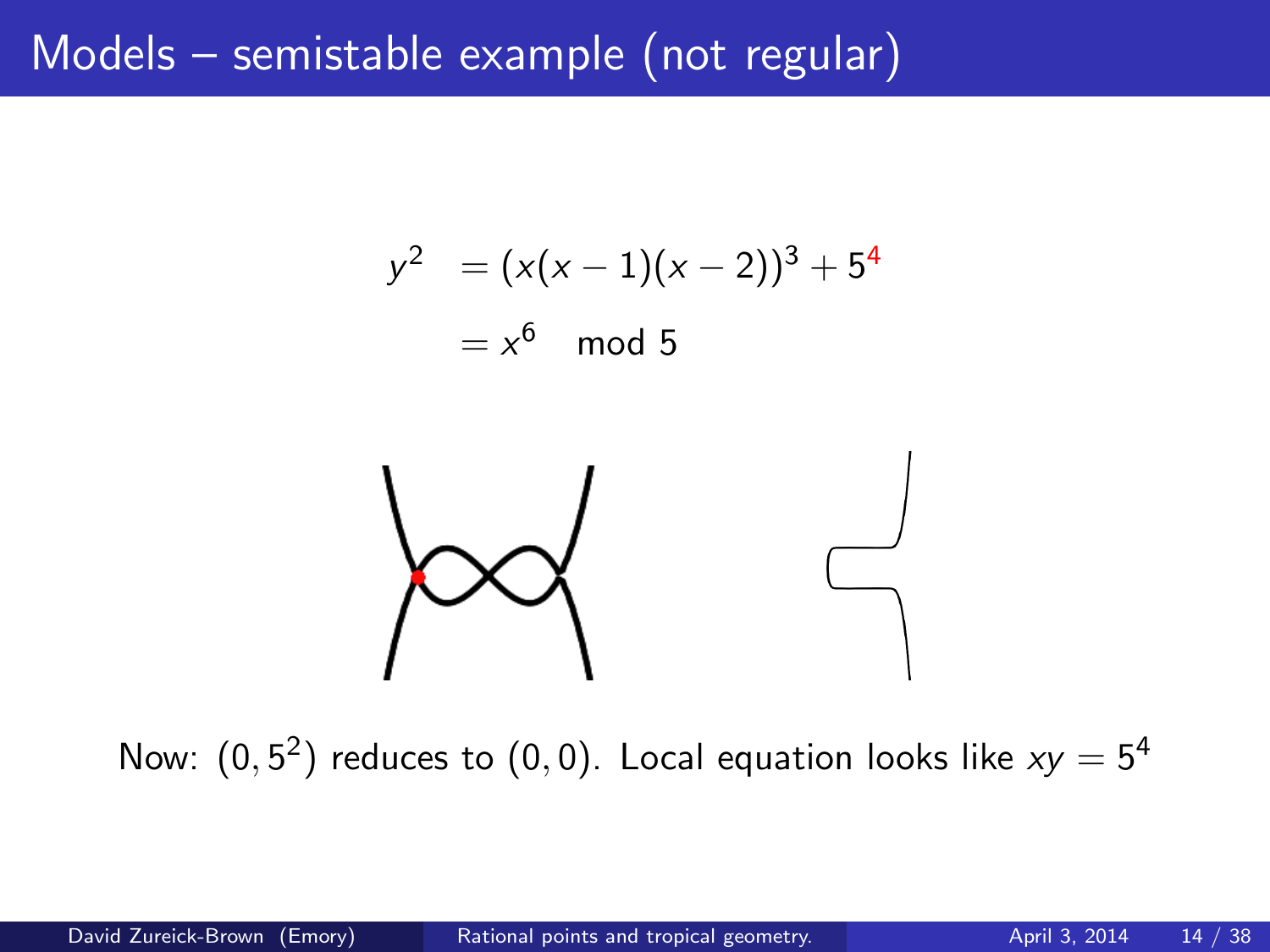# Models – semistable example (not regular)

$$
y^2 = (x(x-1)(x-2))^3 + 5^4
$$

 $=x^6 \mod 5$ 



Now:  $(0, 5^2)$  reduces to  $(0, 0)$ . Local equation looks like  $xy = 5^4$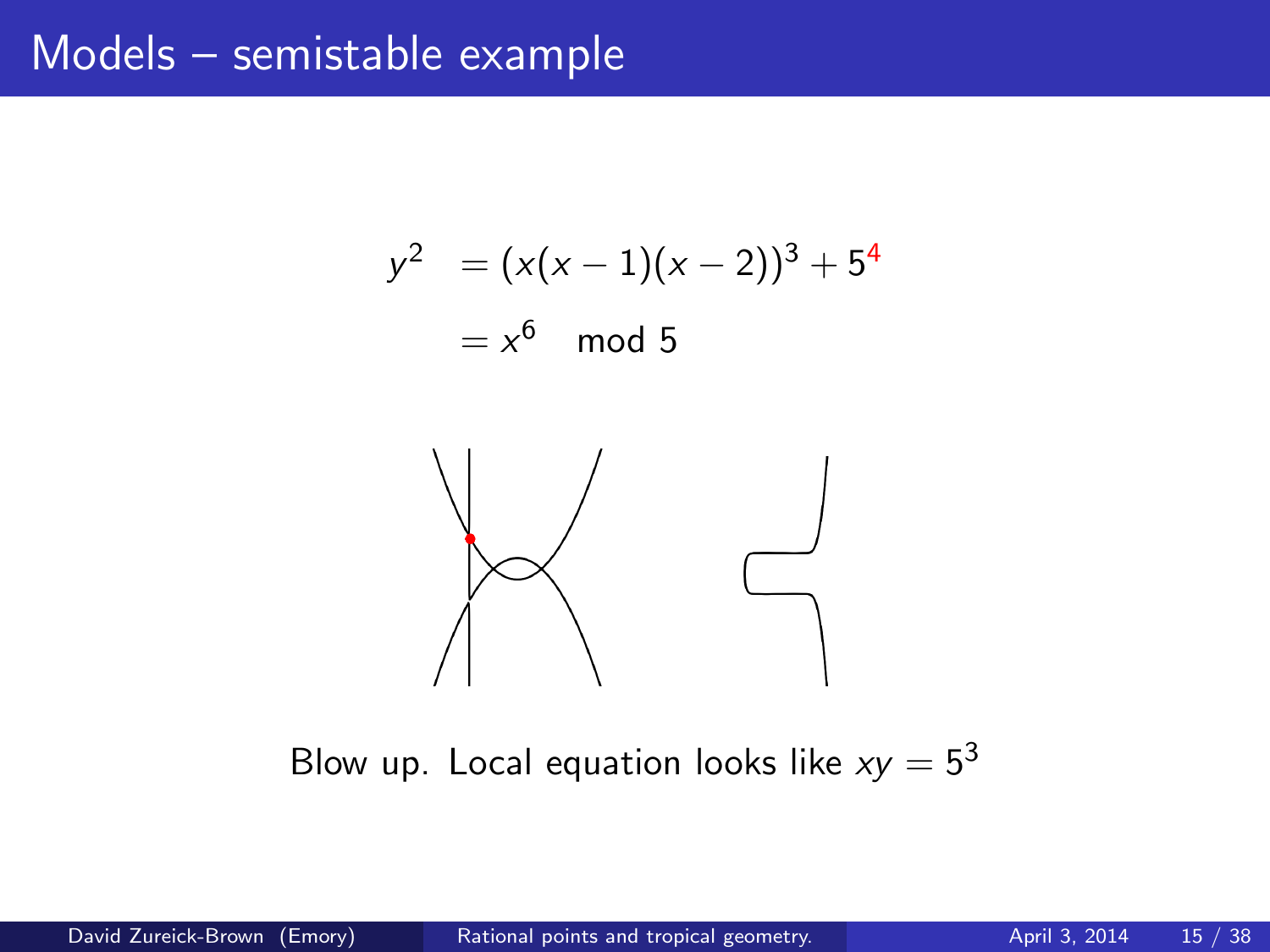$$
y2 = (x(x - 1)(x - 2))3 + 54
$$
  
= x<sup>6</sup> mod 5



Blow up. Local equation looks like  $xy = 5^3$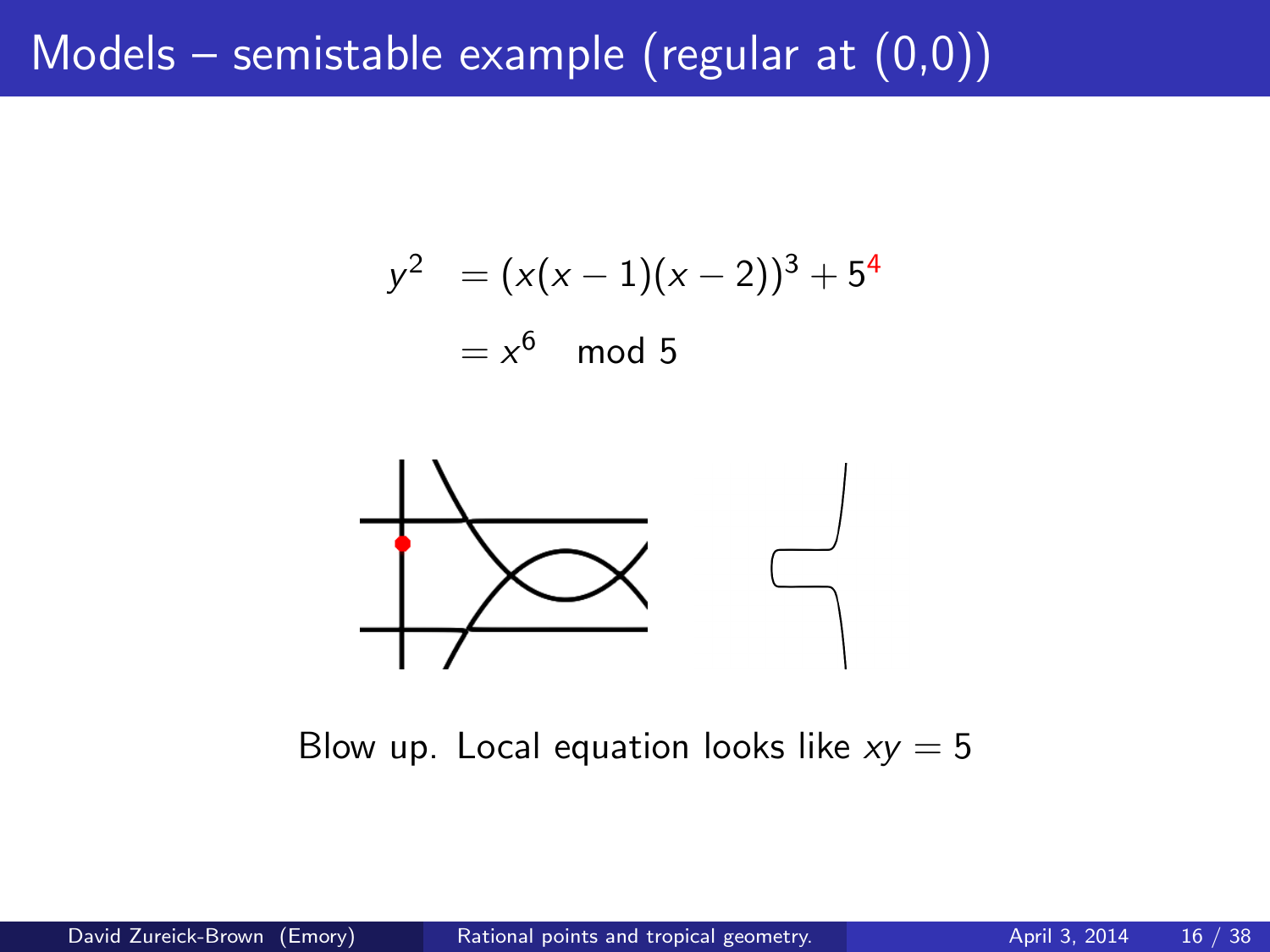# Models – semistable example (regular at  $(0,0)$ )

$$
y2 = (x(x - 1)(x - 2))3 + 54
$$
  
= x<sup>6</sup> mod 5



Blow up. Local equation looks like  $xy = 5$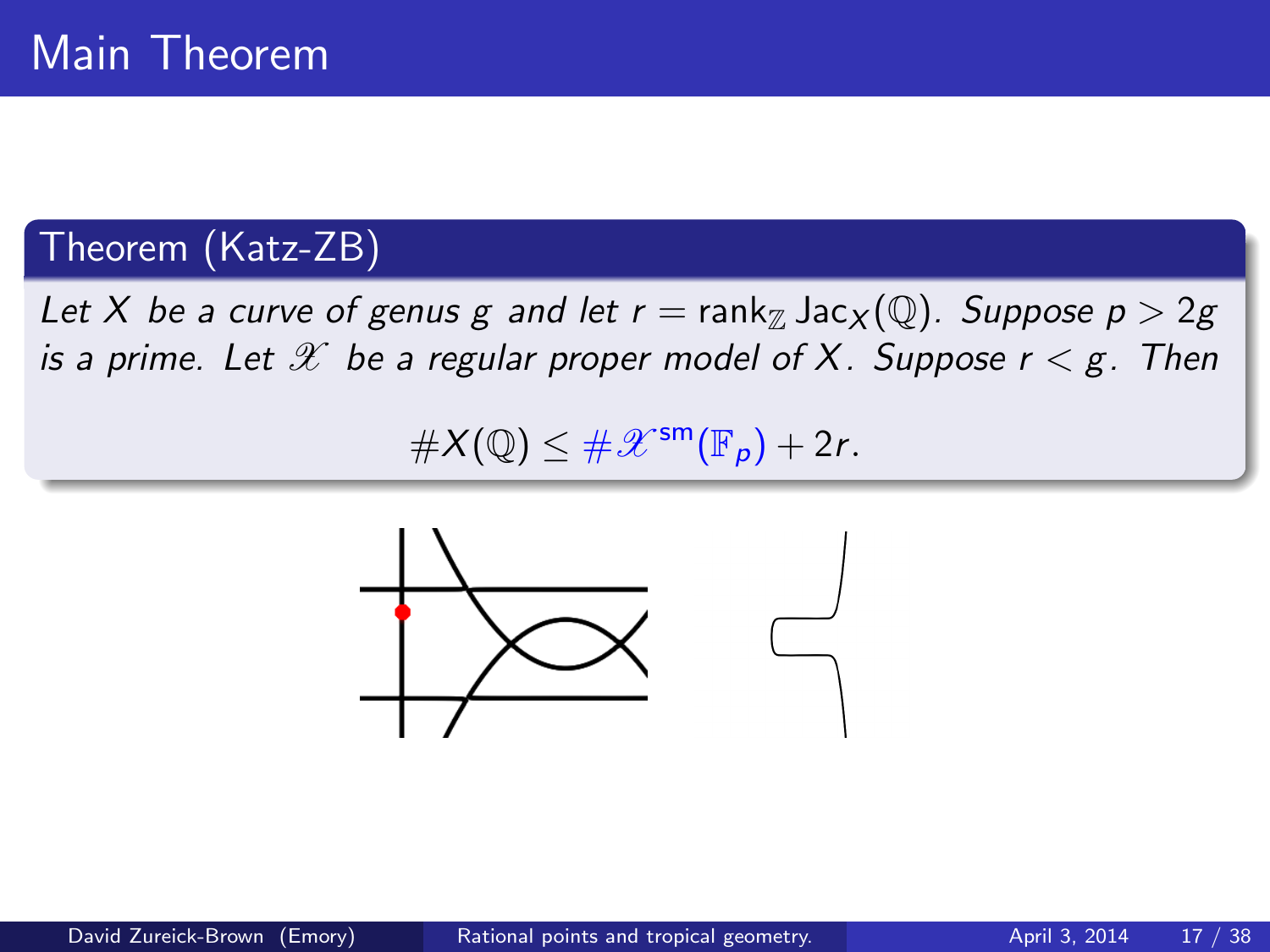## Theorem (Katz-ZB)

Let X be a curve of genus g and let  $r = \text{rank}_{\mathbb{Z}} \text{Jac}_{X}(\mathbb{Q})$ . Suppose  $p > 2g$ is a prime. Let  $\mathscr X$  be a regular proper model of X. Suppose  $r < g$ . Then

 $\#X(\mathbb{Q}) \leq \#X^{\text{sm}}(\mathbb{F}_p) + 2r.$ 

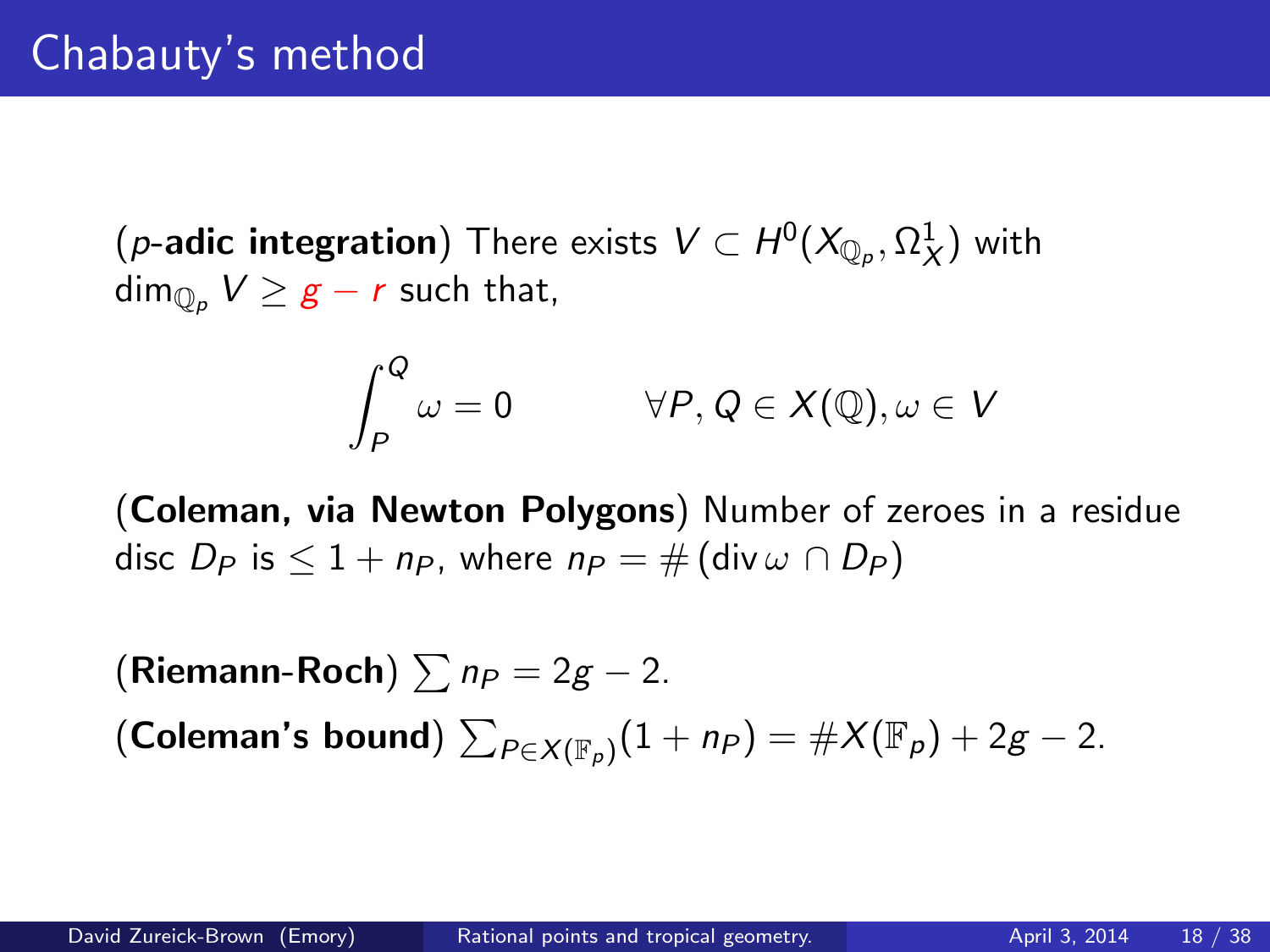$(\rho\text{-}\mathsf{adic}\ \mathsf{integration})$  There exists  $\mathsf{V}\subset H^0(X_{\mathbb{Q}_\rho},\Omega^1_X)$  with  $\dim_{\mathbb{Q}_p} V \geq g - r$  such that,

$$
\int_{P}^{Q} \omega = 0 \qquad \forall P, Q \in X(\mathbb{Q}), \omega \in V
$$

(Coleman, via Newton Polygons) Number of zeroes in a residue disc  $D_P$  is  $\leq 1 + np$ , where  $np = \#$  (div  $\omega \cap D_P$ )

(Riemann-Roch)  $\sum n_P = 2g - 2$ . (Coleman's bound)  $\sum_{P \in X(\mathbb{F}_\rho)} (1 + n_P) = \#X(\mathbb{F}_\rho) + 2g - 2.$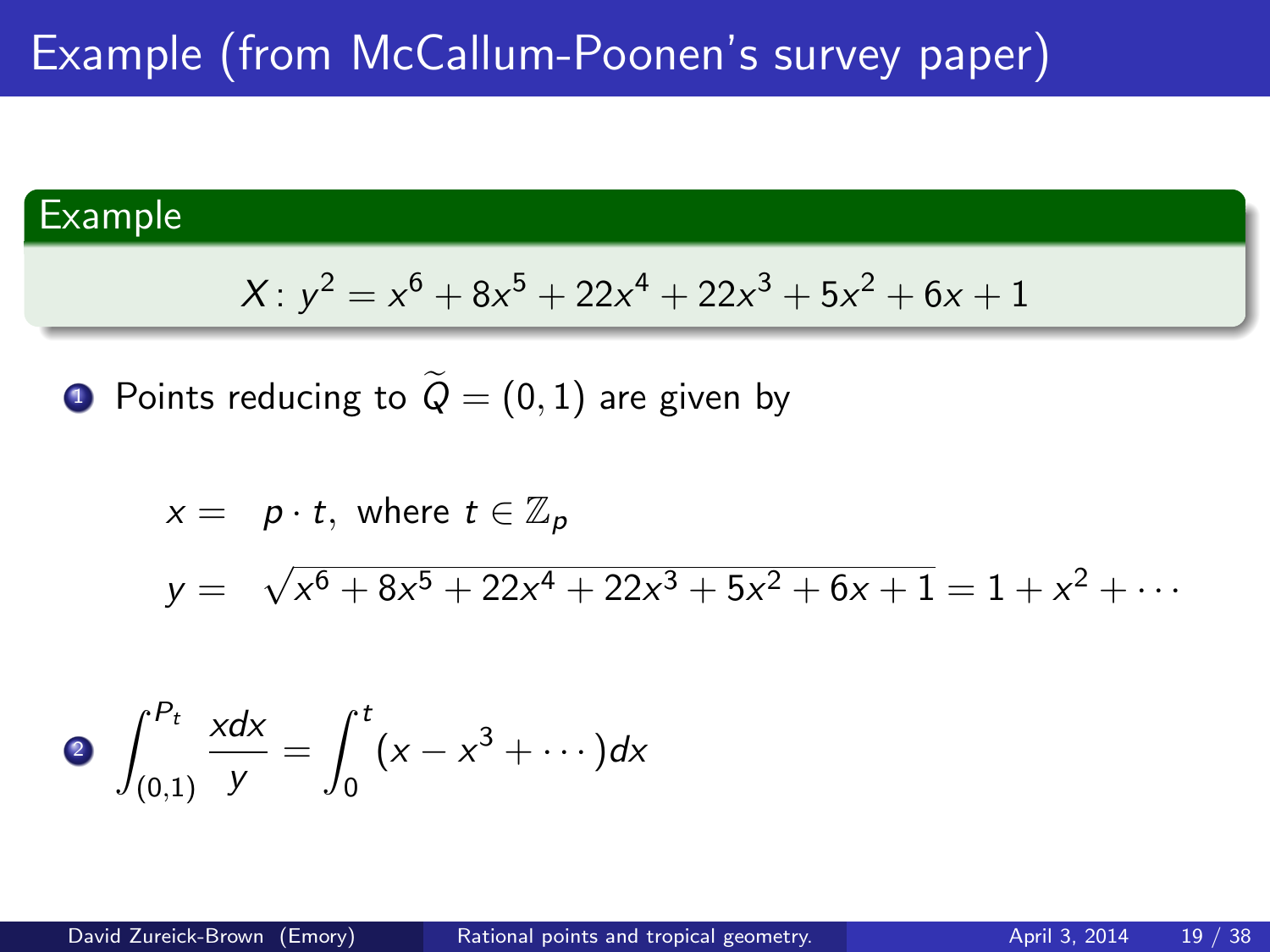#### Example

$$
X: y^2 = x^6 + 8x^5 + 22x^4 + 22x^3 + 5x^2 + 6x + 1
$$

 $\bullet$  Points reducing to  $\widetilde{Q}=(0,1)$  are given by

$$
x = p \cdot t, \text{ where } t \in \mathbb{Z}_p
$$
  
\n
$$
y = \sqrt{x^6 + 8x^5 + 22x^4 + 22x^3 + 5x^2 + 6x + 1} = 1 + x^2 + \dots
$$

$$
\int_{(0,1)}^{P_t} \frac{xdx}{y} = \int_0^t (x - x^3 + \cdots) dx
$$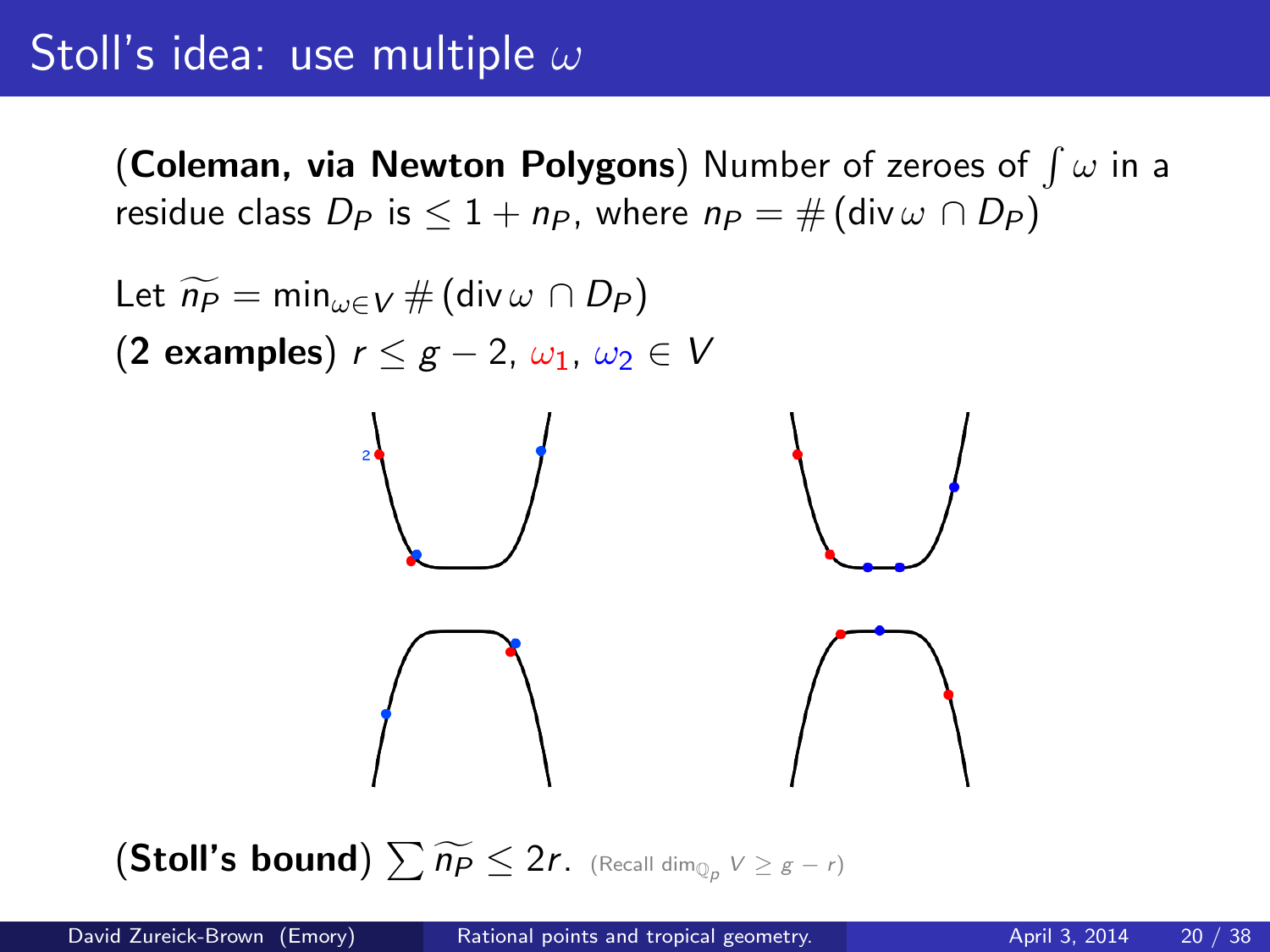# Stoll's idea: use multiple  $\omega$

(Coleman, via Newton Polygons) Number of zeroes of  $\int \omega$  in a residue class  $D_P$  is  $\leq 1 + n_P$ , where  $n_P = \#$  (div  $\omega \cap D_P$ )



 $(\textsf{Stoll's bound})\sum \widetilde{n_P}\leq 2r.$  (Recall dim $_{\mathbb{Q}_p}\vee\geq s-r$ )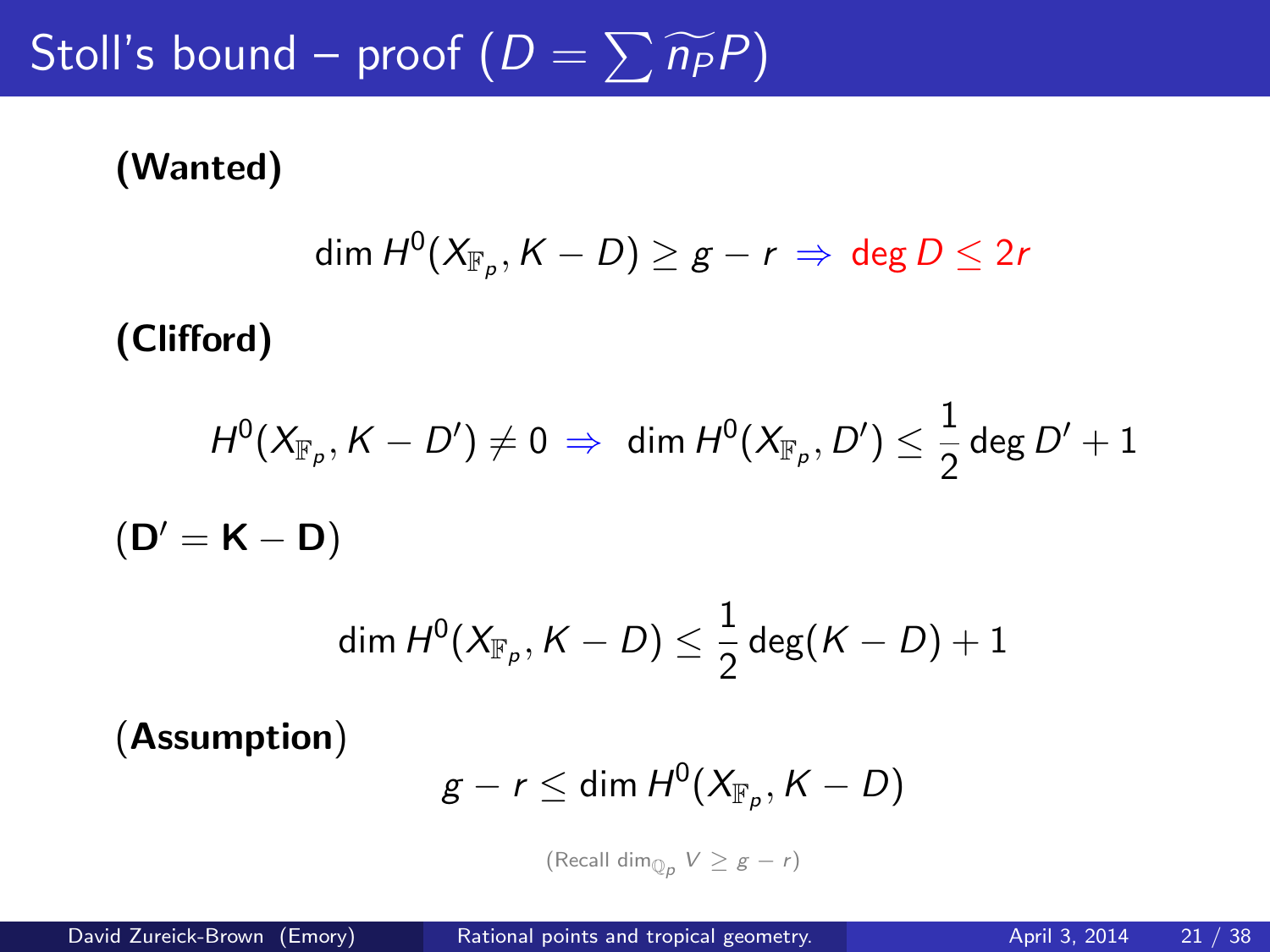# Stoll's bound – proof  $(D = \sum \widetilde{n_P}P)$

#### (Wanted)

$$
\dim H^0(X_{\mathbb{F}_p},K-D)\geq g-r\,\Rightarrow\,\deg D\leq 2r
$$

(Clifford)

$$
H^0(X_{\mathbb{F}_p}, K - D') \neq 0 \Rightarrow \dim H^0(X_{\mathbb{F}_p}, D') \leq \frac{1}{2} \deg D' + 1
$$
  

$$
(\mathbf{D'} = \mathbf{K} - \mathbf{D})
$$

$$
\dim H^0(X_{\mathbb{F}_p}, K-D) \leq \frac{1}{2}\deg(K-D)+1
$$

(Assumption)

$$
g-r\leq \dim H^0(X_{\mathbb{F}_p},K-D)
$$

(Recall dim $_{\mathbb{Q}_p}$   $V \geq g-r$ )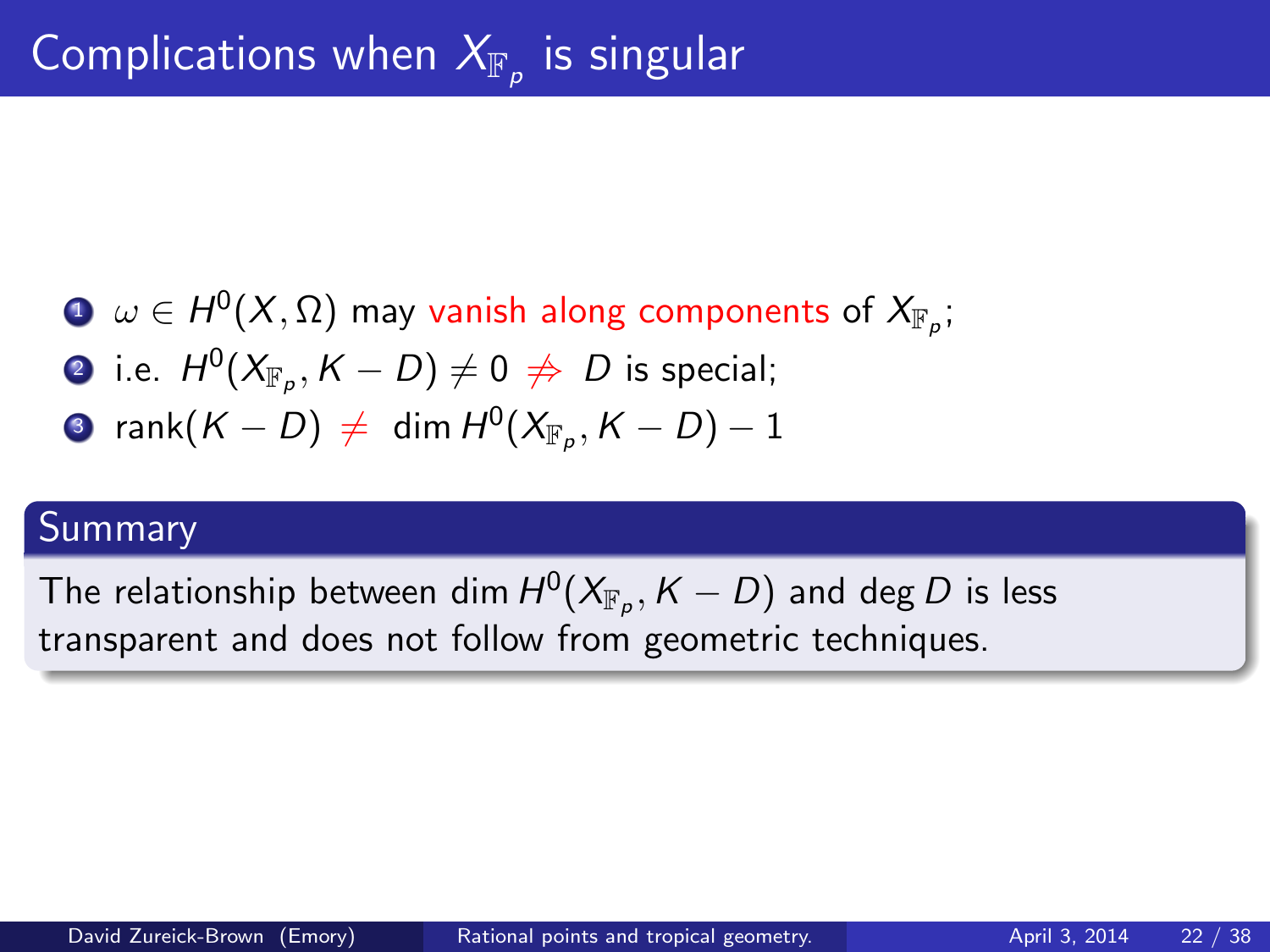- $\mathbf{D} \;\; \omega \in H^0(X, \Omega)$  may vanish along components of  $\mathsf{X}_{\mathbb{F}_p};$
- $\bullet$  i.e.  $H^0(X_{\mathbb{F}_p},K-D)\neq 0\,\not\Rightarrow\, D$  is special;
- $\quad \mathbf{3}$  rank $(\mathcal{K}-D) \,\neq\,\, \mathsf{dim}\, \mathsf{H}^0(X_{\mathbb{F}_p}, \mathcal{K}-D)-1$

#### **Summary**

The relationship between dim  $H^0(X_{\mathbb{F}_p},K-D)$  and deg  $D$  is less transparent and does not follow from geometric techniques.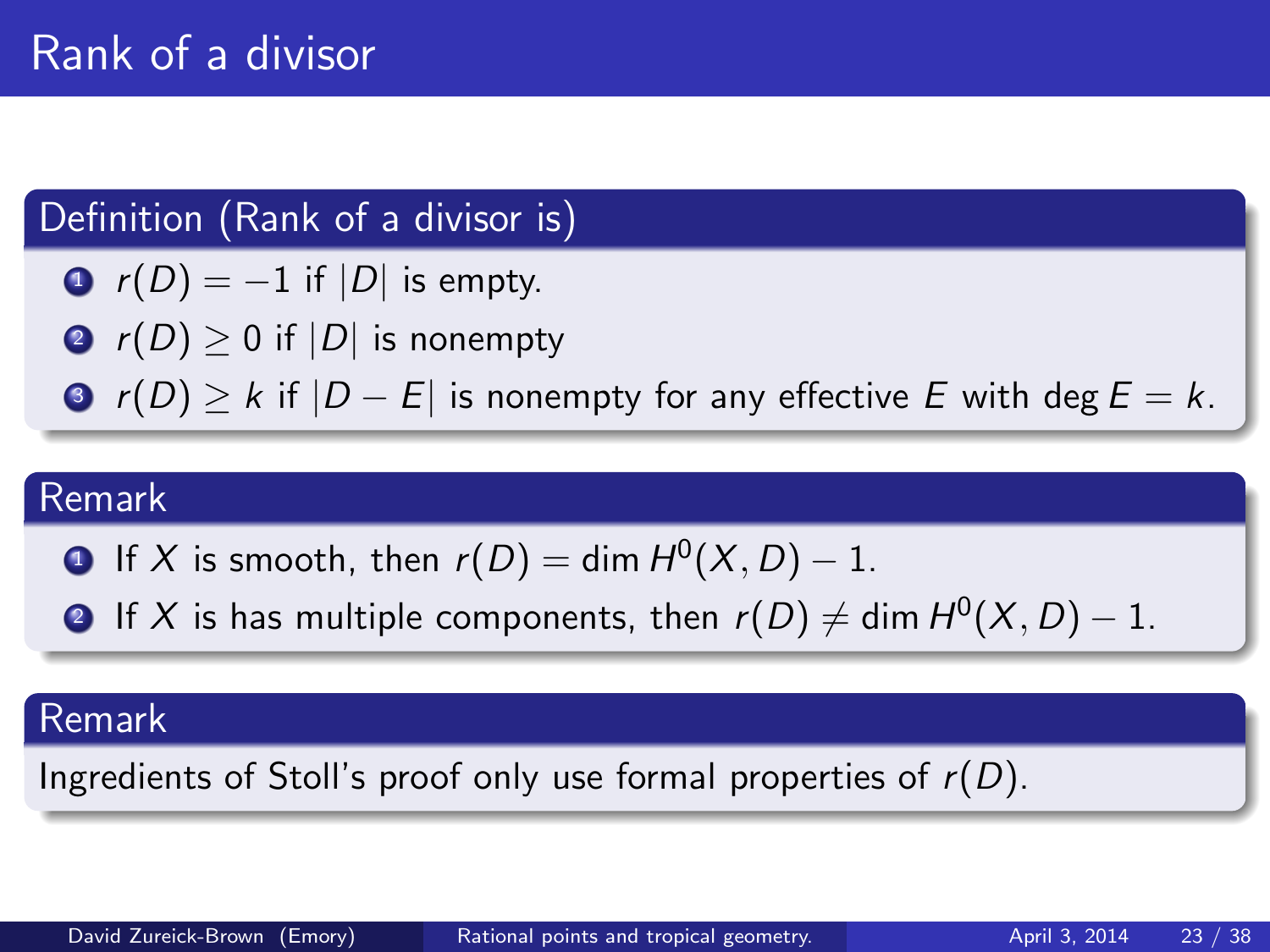# Definition (Rank of a divisor is)

- $r(D) = -1$  if  $|D|$  is empty.
- **2**  $r(D) \ge 0$  if  $|D|$  is nonempty
- $\bullet$  r(D) > k if  $|D E|$  is nonempty for any effective E with deg  $E = k$ .

#### Remark

• If X is smooth, then 
$$
r(D) = \dim H^0(X, D) - 1
$$
.

 $\bullet\hspace{0.1cm}$  If  $X$  is has multiple components, then  $r(D)\neq$  dim  $H^{0}(X,D)-1.$ 

#### Remark

Ingredients of Stoll's proof only use formal properties of  $r(D)$ .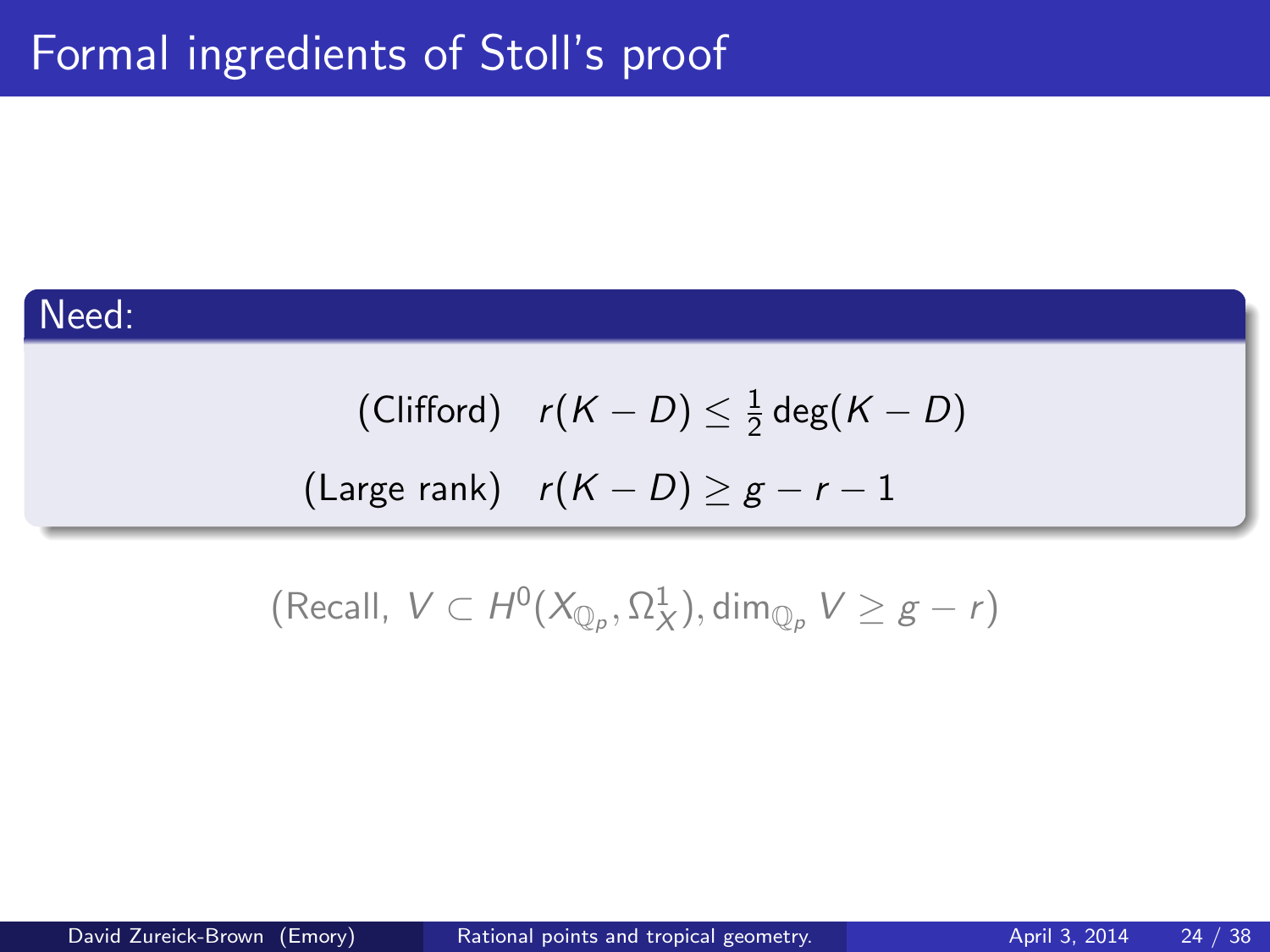#### Need:

(Clifford)  $r(K-D) \leq \frac{1}{2}$  $\frac{1}{2}$  deg $(K-D)$ (Large rank)  $r(K - D) \geq g - r - 1$ 

(Recall,  $V \subset H^0(X_{\mathbb{Q}_p}, \Omega^1_X), \dim_{\mathbb{Q}_p} V \geq g-r)$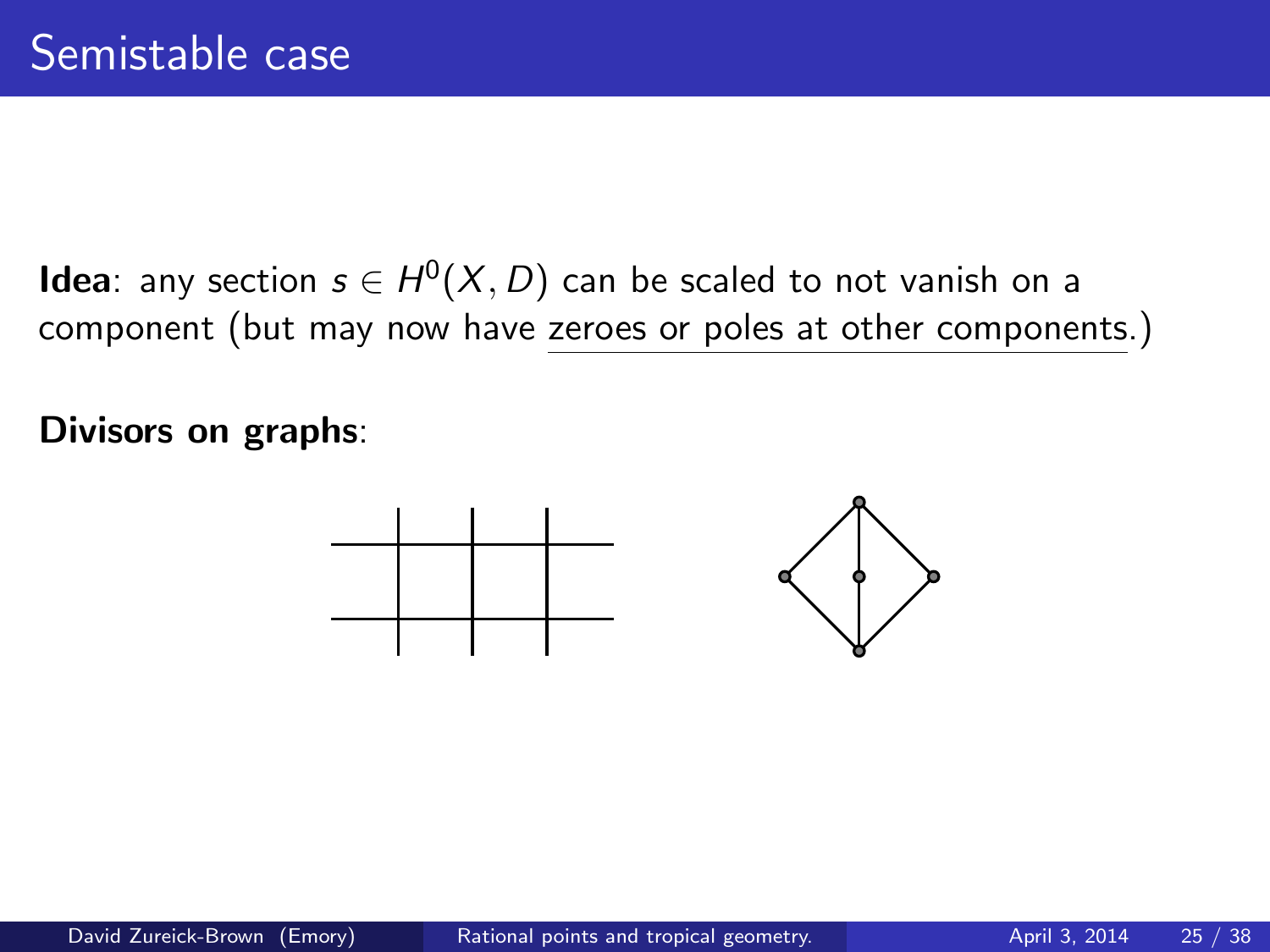**Idea**: any section  $s \in H^0(X, D)$  can be scaled to not vanish on a component (but may now have zeroes or poles at other components.)

Divisors on graphs:

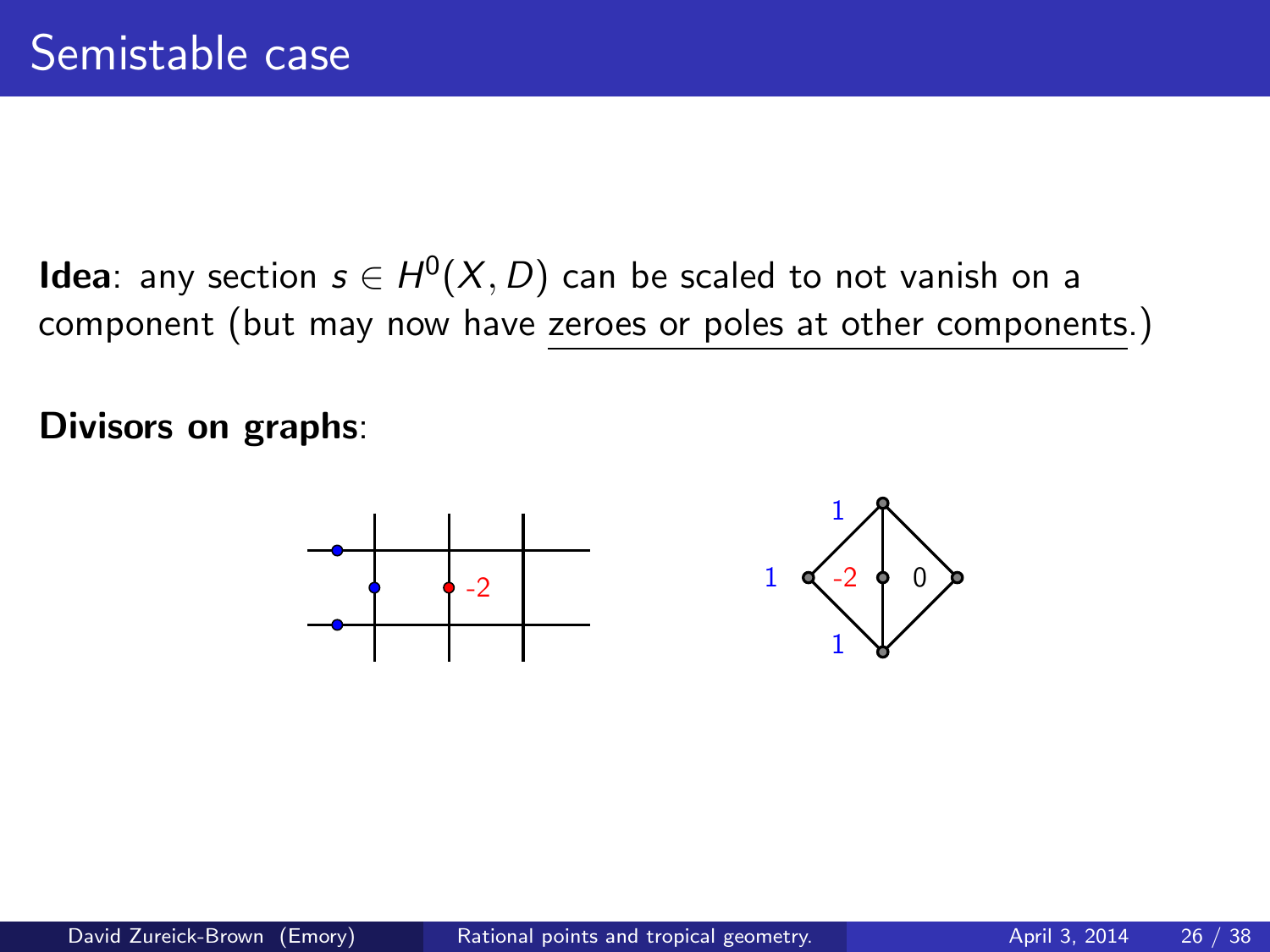**Idea**: any section  $s \in H^0(X, D)$  can be scaled to not vanish on a component (but may now have zeroes or poles at other components.)

Divisors on graphs:

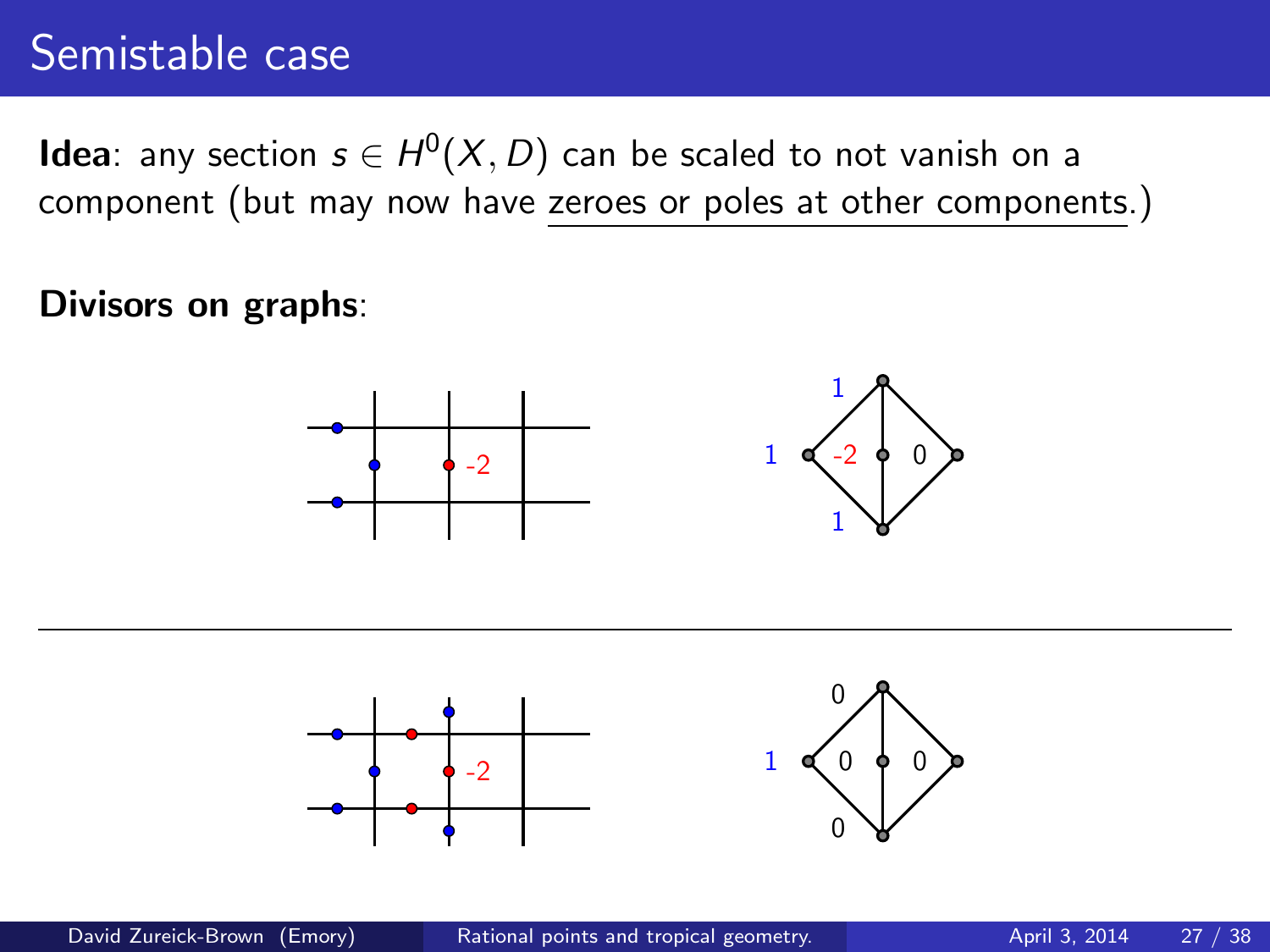# Semistable case

**Idea**: any section  $s \in H^0(X, D)$  can be scaled to not vanish on a component (but may now have zeroes or poles at other components.)

#### Divisors on graphs:





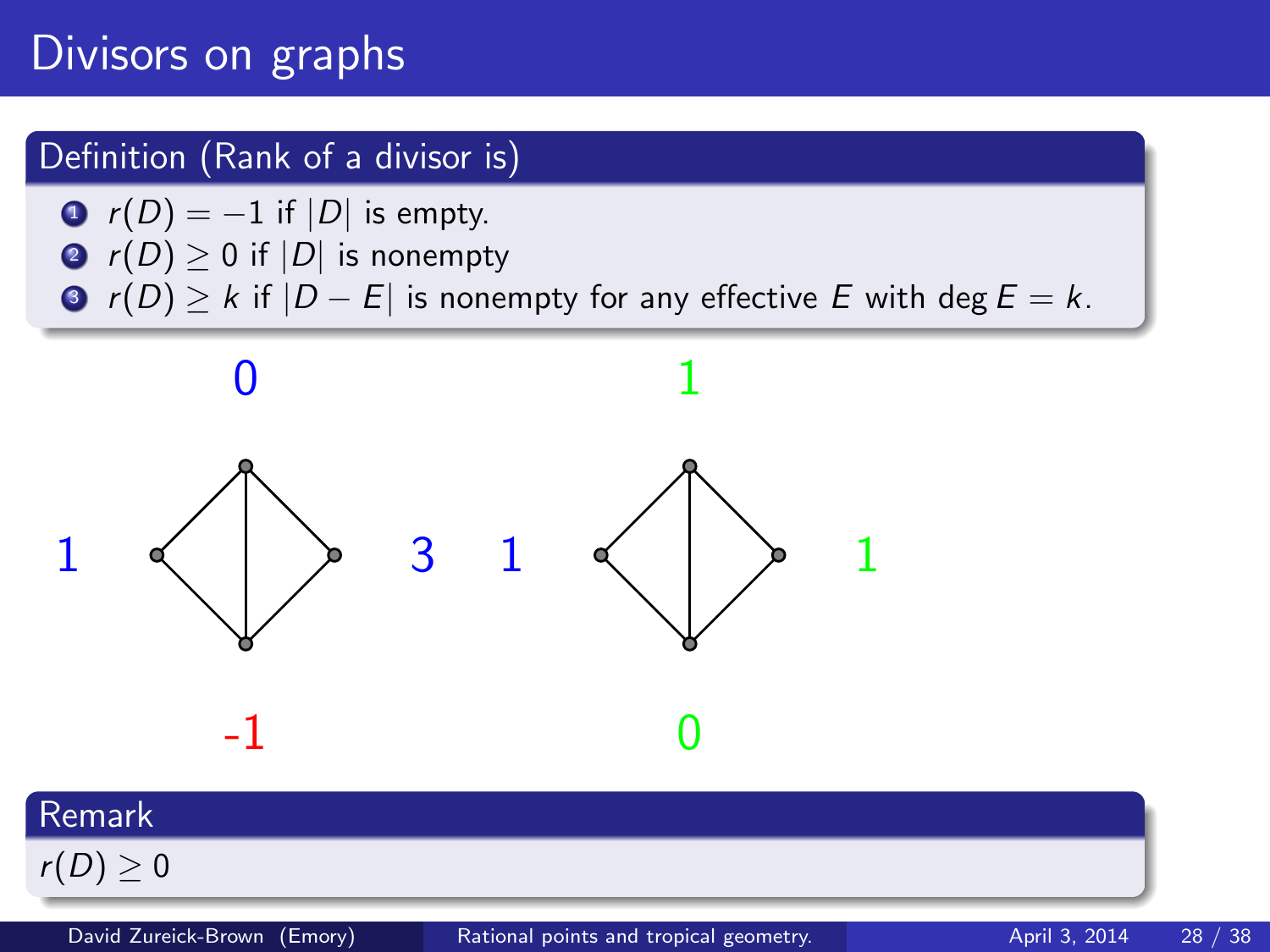# Divisors on graphs

#### Definition (Rank of a divisor is)

- $r(D) = -1$  if  $|D|$  is empty.
- **2**  $r(D) \ge 0$  if  $|D|$  is nonempty
- $\bigcirc$  r(D)  $\geq$  k if  $|D E|$  is nonempty for any effective E with deg  $E = k$ .



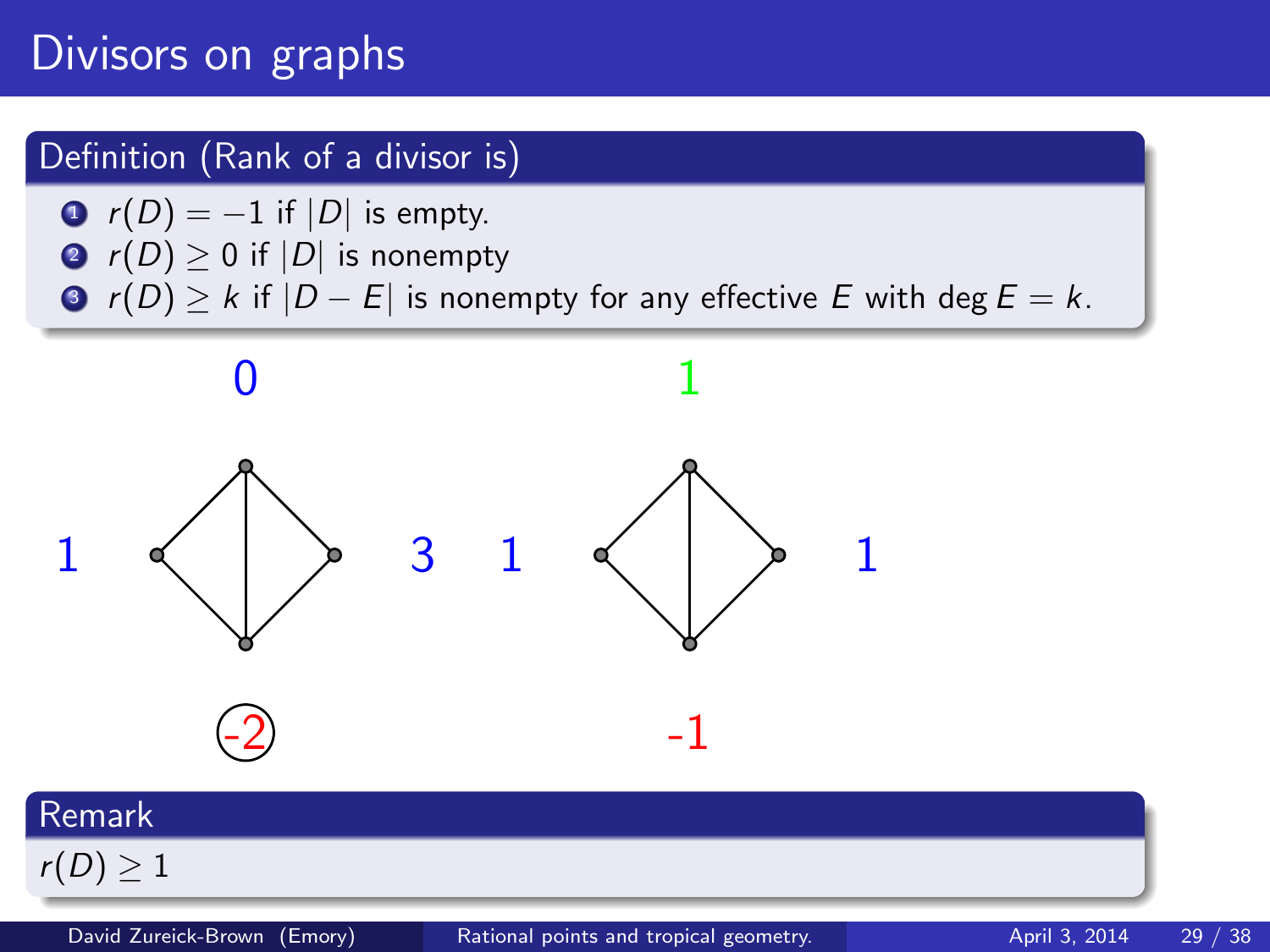# Divisors on graphs

#### Definition (Rank of a divisor is)

- $r(D) = -1$  if  $|D|$  is empty.
- **2**  $r(D) \ge 0$  if  $|D|$  is nonempty
- $\bigcirc$  r(D)  $\geq$  k if  $|D E|$  is nonempty for any effective E with deg  $E = k$ .



 $r(D) \geq 1$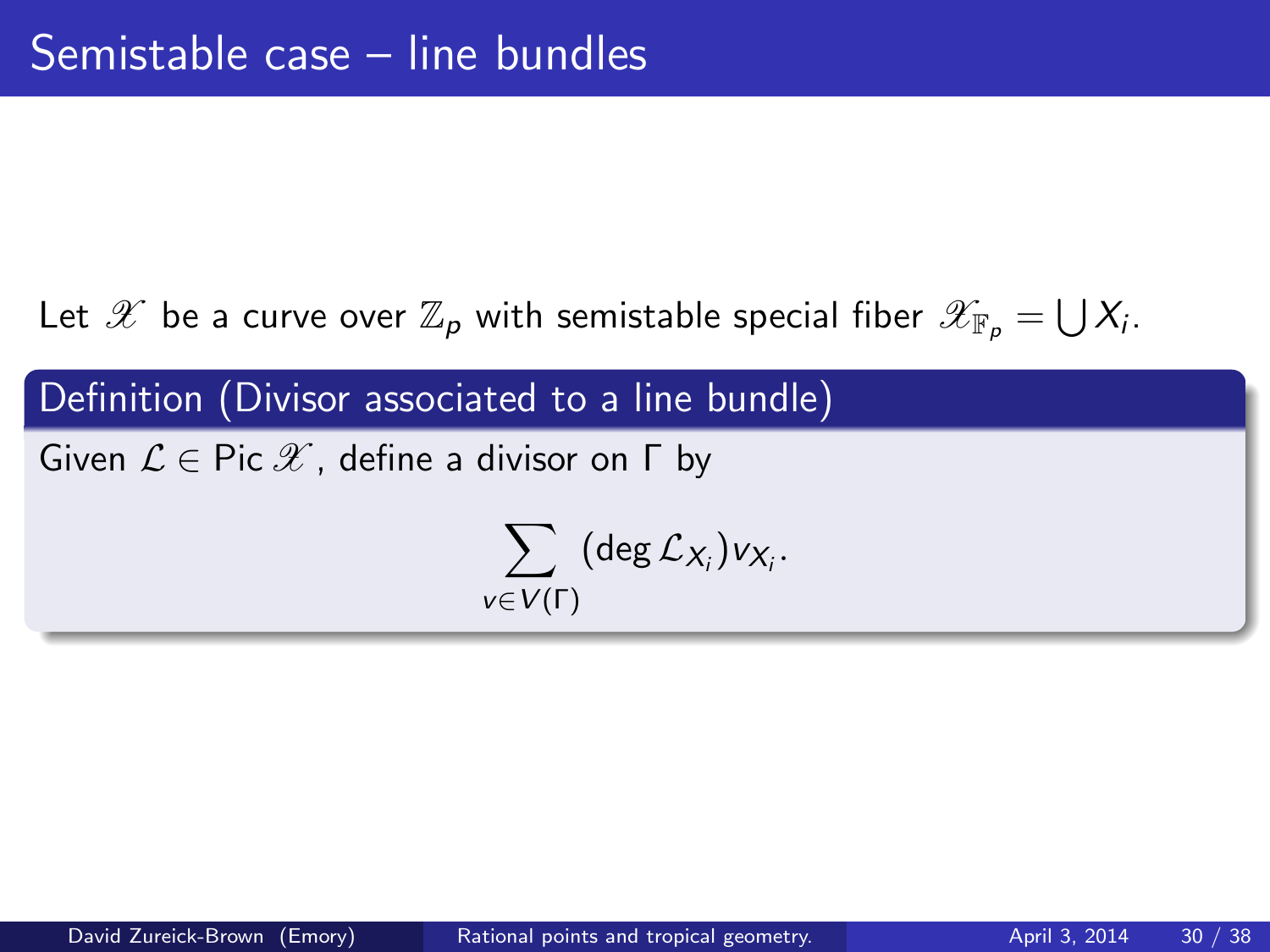Definition (Divisor associated to a line bundle)

Given  $\mathcal{L} \in \text{Pic } \mathscr{X}$ , define a divisor on  $\Gamma$  by

$$
\sum_{v \in V(\Gamma)} (\deg \mathcal{L}_{X_i}) v_{X_i}.
$$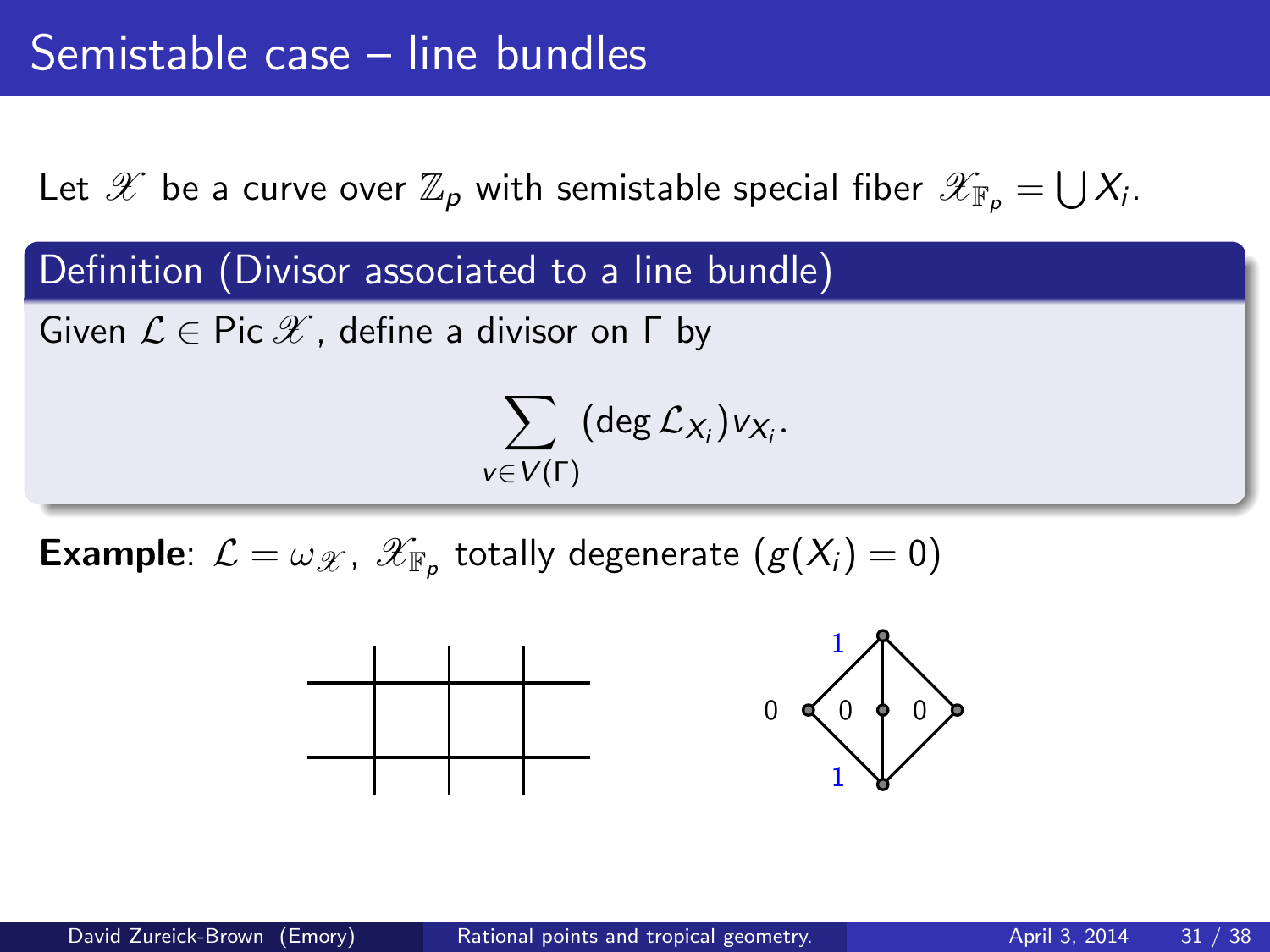Definition (Divisor associated to a line bundle)

Given  $\mathcal{L} \in \text{Pic } \mathscr{X}$ , define a divisor on  $\Gamma$  by

$$
\sum_{v \in V(\Gamma)} (\deg \mathcal{L}_{X_i}) v_{X_i}.
$$

**Example**:  $\mathcal{L} = \omega_{\mathcal{X}}$ ,  $\mathscr{X}_{\mathbb{F}_p}$  totally degenerate  $(g(X_i) = 0)$ 

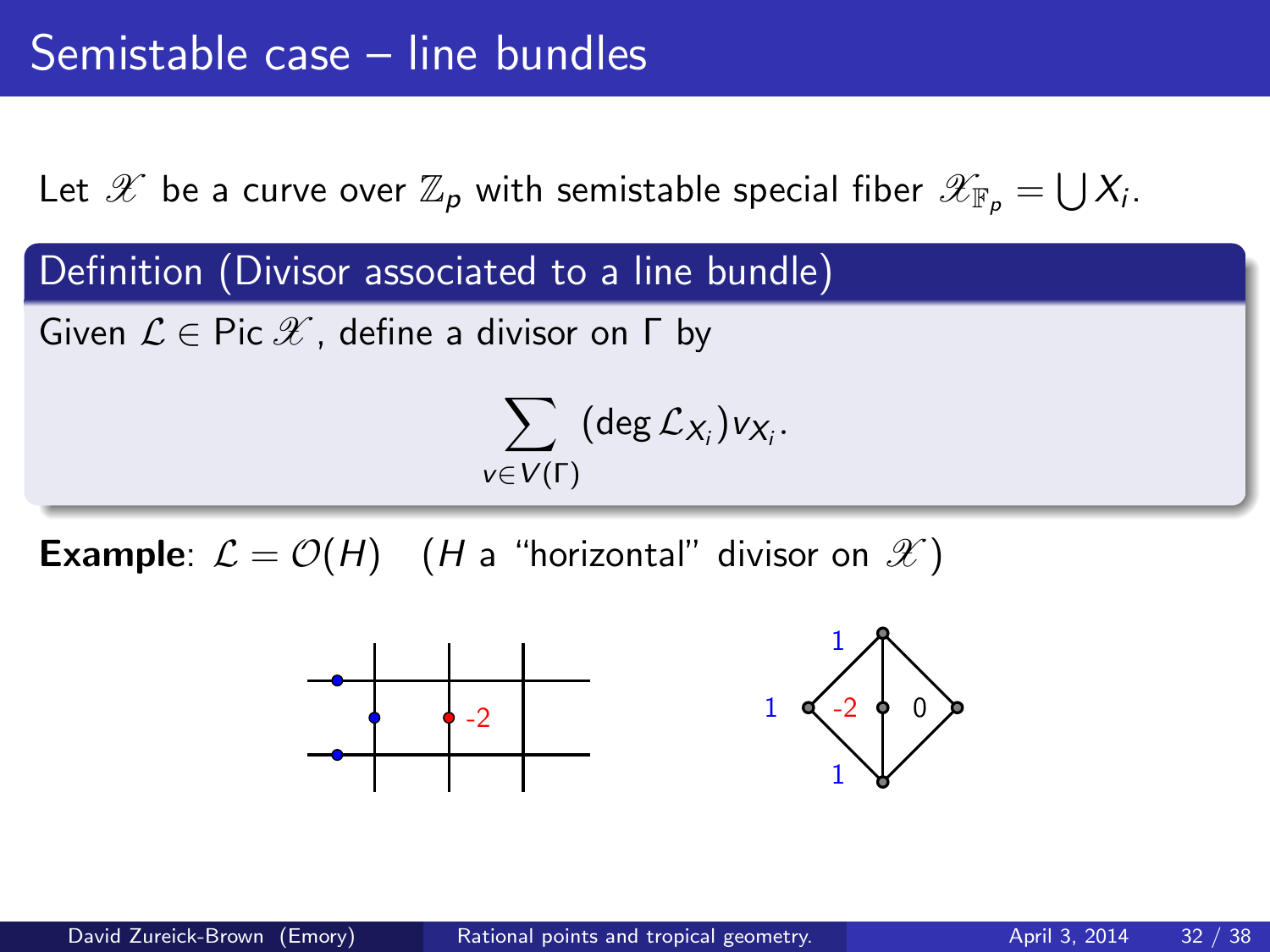Definition (Divisor associated to a line bundle)

Given  $\mathcal{L} \in \text{Pic } \mathscr{X}$ , define a divisor on  $\Gamma$  by

$$
\sum_{v \in V(\Gamma)} (\deg \mathcal{L}_{X_i}) v_{X_i}.
$$

**Example**:  $\mathcal{L} = \mathcal{O}(H)$  (*H* a "horizontal" divisor on  $\mathcal{X}$ )

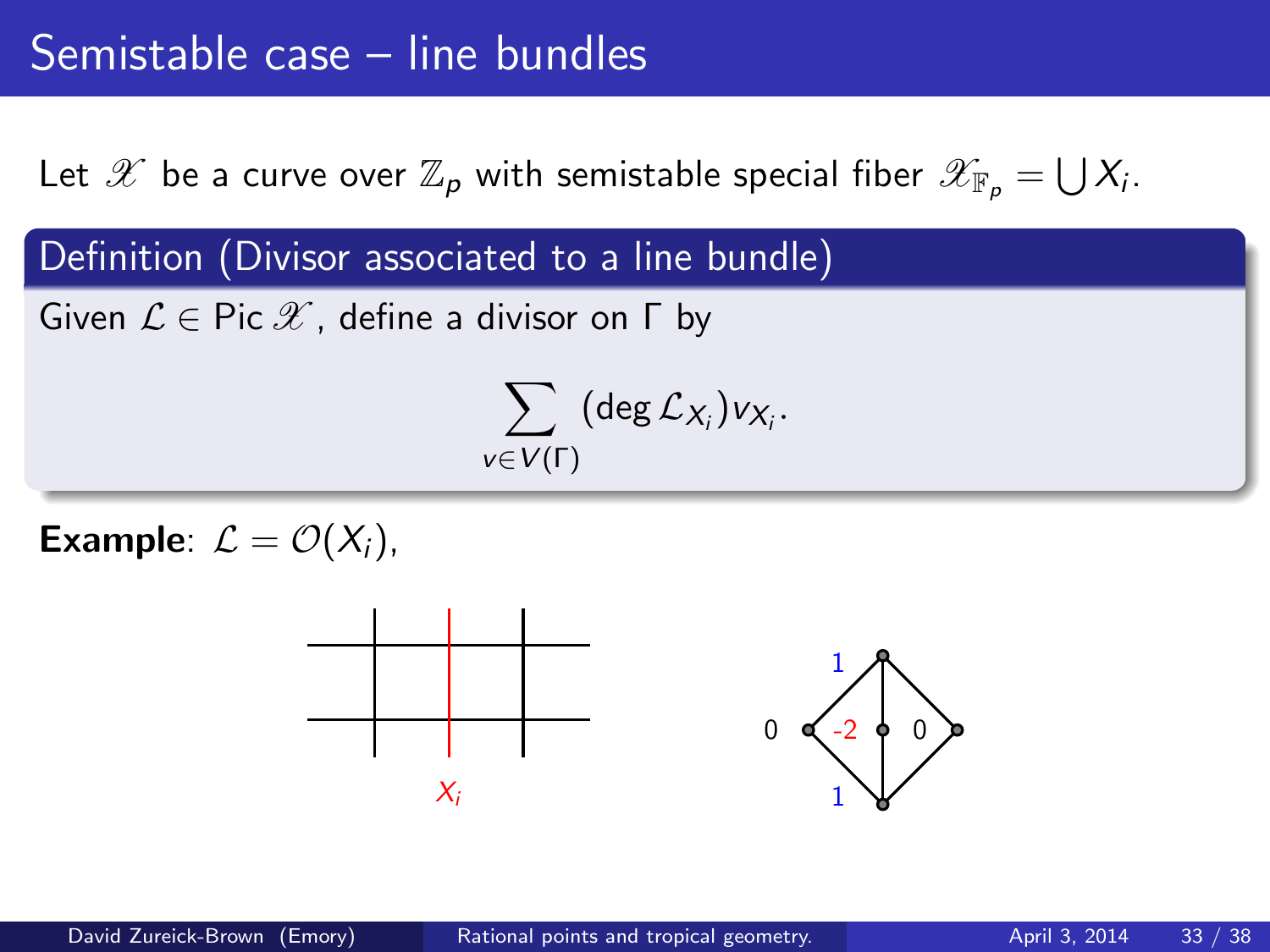Definition (Divisor associated to a line bundle)

 $V \in$ 

Given  $\mathcal{L} \in \text{Pic } \mathscr{X}$ , define a divisor on  $\Gamma$  by

$$
\sum_{\in V(\Gamma)} (\deg {\mathcal L}_{X_i}) \mathsf v_{X_i}.
$$

Example:  $\mathcal{L} = \mathcal{O}(X_i)$ ,

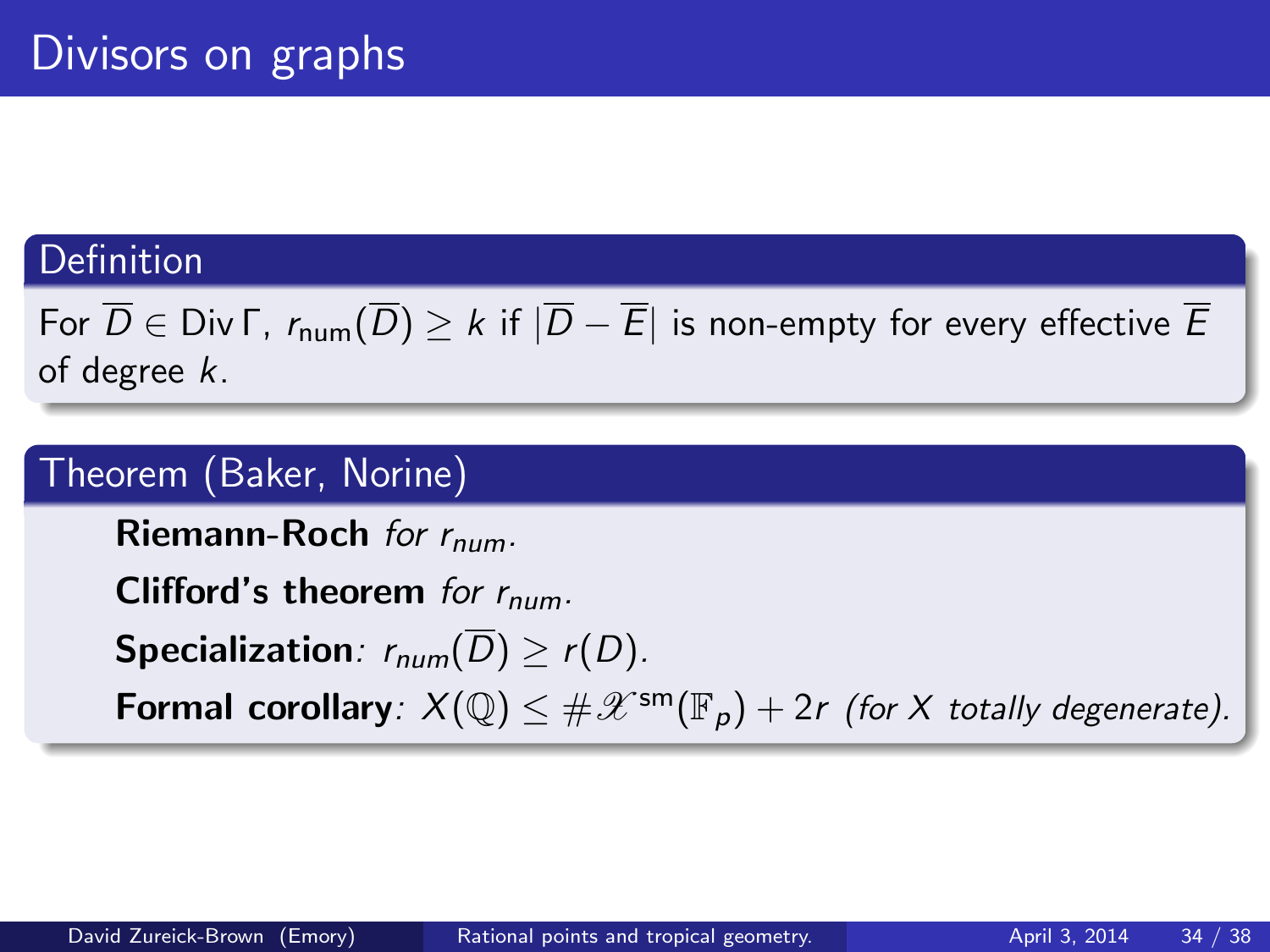## Definition

# For  $\overline{D} \in$  Div  $\Gamma$ ,  $r_{\text{num}}(\overline{D}) \geq k$  if  $|\overline{D} - \overline{E}|$  is non-empty for every effective  $\overline{E}$ of degree k.

## Theorem (Baker, Norine)

Riemann-Roch for  $r_{num}$ .

Clifford's theorem for  $r_{num}$ .

**Specialization**:  $r_{num}(\overline{D}) > r(D)$ .

**Formal corollary**:  $X(\mathbb{Q}) \leq \#\mathscr{X}^{\text{sm}}(\mathbb{F}_p) + 2r$  (for X totally degenerate).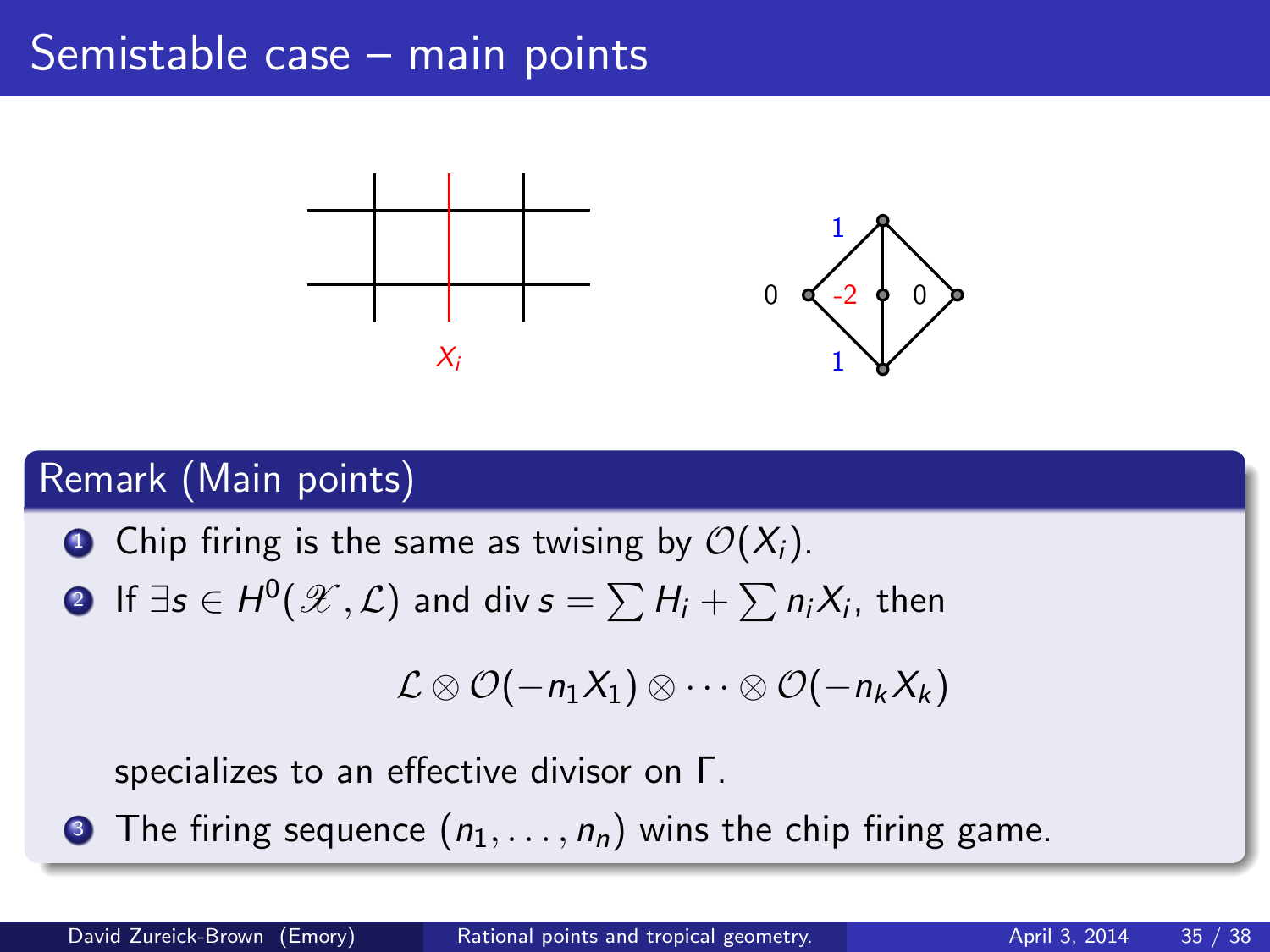# Semistable case – main points



## Remark (Main points)

**O** Chip firing is the same as twising by  $\mathcal{O}(X_i)$ . ? If  $\exists s \in H^0(\mathscr{X}, \mathcal{L})$  and div  $s = \sum H_i + \sum n_i X_i$ , then

$$
\mathcal{L} \otimes \mathcal{O}(-n_1X_1) \otimes \cdots \otimes \mathcal{O}(-n_kX_k)
$$

specializes to an effective divisor on Γ.

**3** The firing sequence  $(n_1, \ldots, n_n)$  wins the chip firing game.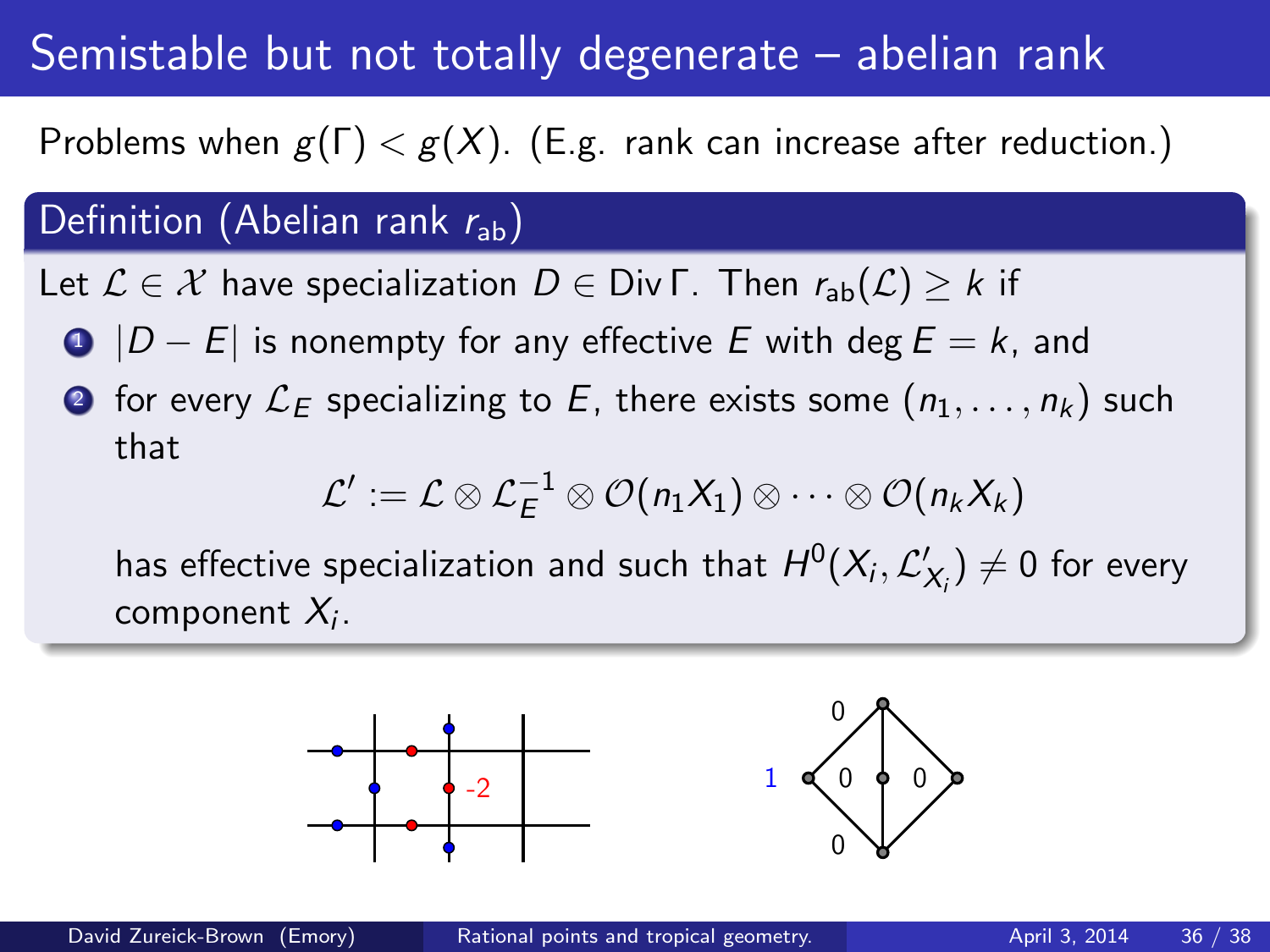# Semistable but not totally degenerate – abelian rank

Problems when  $g(\Gamma) < g(X)$ . (E.g. rank can increase after reduction.)

# Definition (Abelian rank  $r_{ab}$ )

Let  $\mathcal{L} \in \mathcal{X}$  have specialization  $D \in Div \Gamma$ . Then  $r_{ab}(\mathcal{L}) \geq k$  if

- $\bigcirc$   $|D E|$  is nonempty for any effective E with deg  $E = k$ , and
- **2** for every  $\mathcal{L}_E$  specializing to E, there exists some  $(n_1, \ldots, n_k)$  such that

$$
\mathcal{L}' := \mathcal{L} \otimes \mathcal{L}_E^{-1} \otimes \mathcal{O}(n_1X_1) \otimes \cdots \otimes \mathcal{O}(n_kX_k)
$$

has effective specialization and such that  $H^0(X_i, \mathcal{L}_{X_i}') \neq 0$  for every component  $\mathcal{X}_i$  .



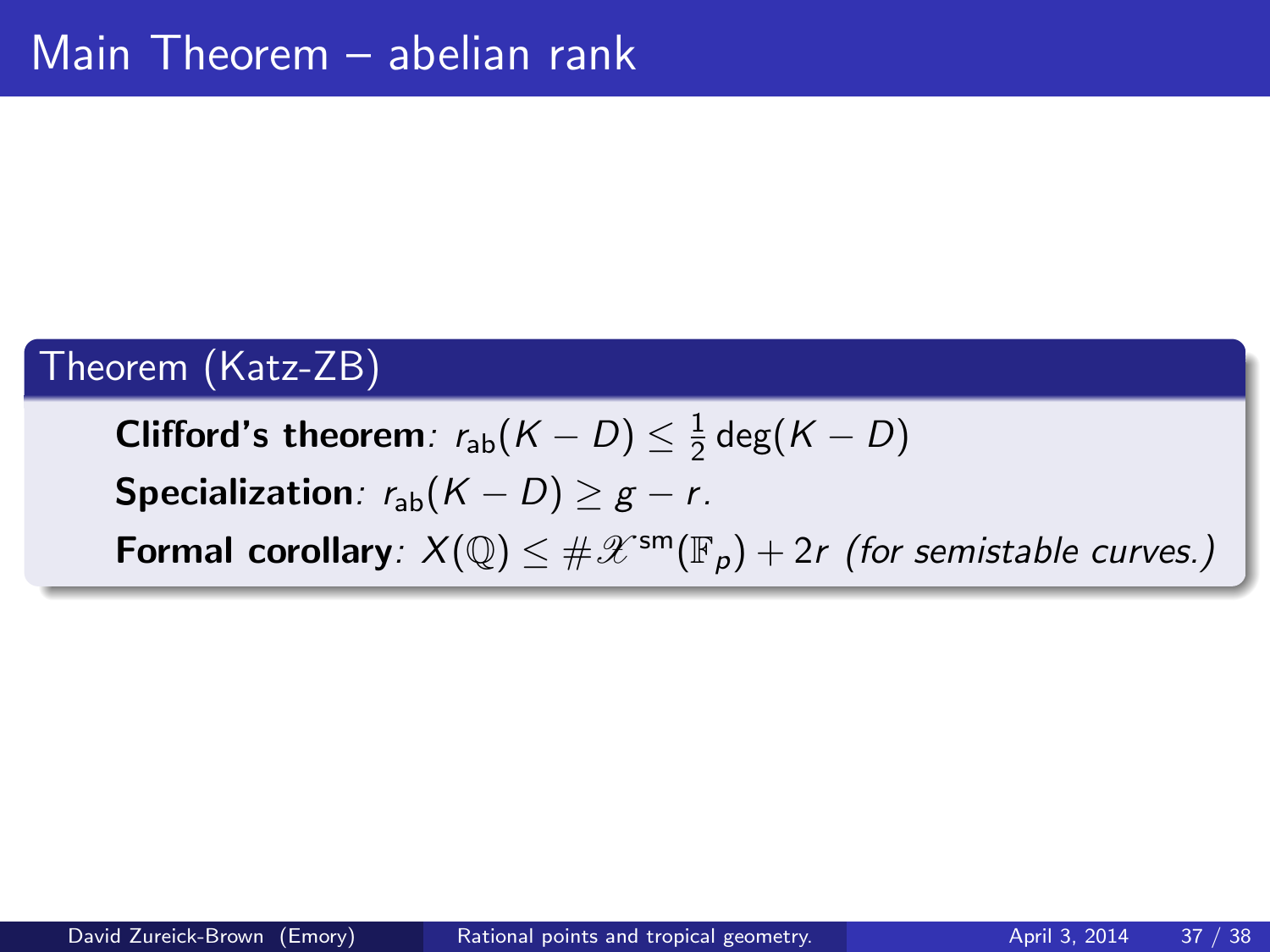# Theorem (Katz-ZB)

Clifford's theorem:  $r_\mathsf{ab}(\mathcal{K}-D) \leq \frac{1}{2}$  $\frac{1}{2}$  deg $(K-D)$ Specialization:  $r_{ab}(K - D) \geq g - r$ . **Formal corollary**:  $X(\mathbb{Q}) \leq \#\mathscr{X}^{\mathsf{sm}}(\mathbb{F}_p) + 2r$  (for semistable curves.)